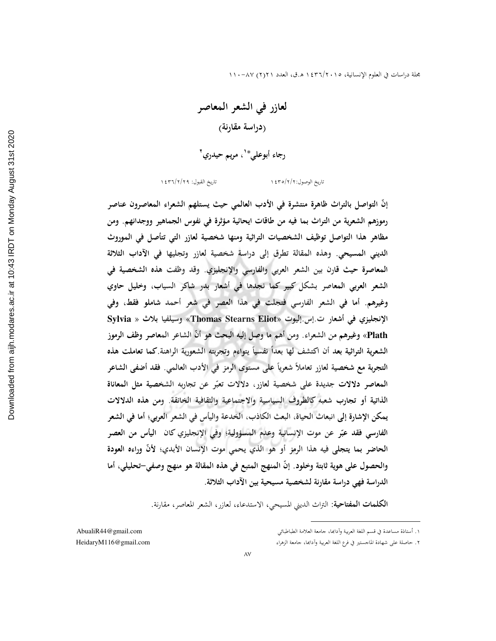لعازر في الشعر المعاصر (دراسة مقارنة) رجاء أبوعلي\*'، مريم حيدري'

تاريخ القبول: ١٤٣٦/٢/٢٩

تاريخ الوصول: ١٤٣٥/٢/٢

إنَّ التواصل بالتراث ظاهرة منتشرة في الأدب العالمي حيث يستلهم الشعراء المعاصرون عناصر رموزهم الشعرية من التراث بما فيه من طاقات ايحائية مؤثرة في نفوس الجماهير ووجدانهم. ومن مظاهر هذا التواصل توظيف الشخصيات التراثية ومنها شخصية لعازر التي تتأصل في الموروث الديني المسيحي. وهذه المقالة تطرق إلى دراسة شخصية لعازر وتجليها في الآداب الثلاثة المعاصرة حيث قارن بين الشعر العربي والفارسي والإنجليزي. وقد وظفت هذه الشخصية في الشعر العربي المعاصر بشكل كبير كما نجدها في أشعار بدر شاكر السياب، وخليل حاوي وغيرهم. أما في الشعر الفارسي فتجلت في هذا العصر في شعر أحمد شاملو فقط، وفي الإنجليزي في أشعار ت إس إليوت «Thomas Stearns Eliot» وسيلفيا بلاث « Sylvia Plath» وغيرهم من الشعراء. ومن أهم ما وصل إليه البحث هو أنّ الشاعر المعاصر وظف الرموز الشعرية التراثية بعد أن اكتشف لها بعداً نفسياً يتواءم وتجربته الشعورية الراهنة كما تعاملت هذه التجربة مع شخصية لعازر تعاملاً شعرياً على مستوى الرمز في الأدب العالمي. فقد أضفي الشاعر المعاصر دلالات جديدة على شخصية لعازر، دلالات تعبّر عن تجاربه الشخصية مثل المعاناة الذاتية أو تجارب شعبه كالظروف السياسية والاجتماعية والثقافية الخانقة. ومن هذه الدلالات يمكن الإشارة إلى انبعاث الحياة، البعث الكاذب، الخدعة واليأس في الشعر العربي؛ أما في الشعر الفارسي فقد عبّر عن موت الإنسانية وعدم المسؤولية؛ وفي الإنجليزي كان اليأس من العصر الحاضر بما يتجلى فيه هذا الرمز أو هو الذي يحمى موت الإنسان الأبدي؛ لأنَّ وراءه العودة والحصول على هوية ثابتة وخلود. إنَّ المنهج المتبع في هذه المقالة هو منهج وصفى–تحليلي، أما الدراسة فهي دراسة مقارنة لشخصية مسيحية بين الآداب الثلاثة.

**الكلمات المفتاحية**: التراث الديني المسيحي، الاستدعاء، لعازر، الشعر المعاصر، مقارنة.

 $\Lambda V$ 

١. أستاذة مساعدة في قسم اللغة العربية وآدابَها، جامعة العلامة الطباطبائي

٢. حاصلة على شهادة الماجستير في فرع اللغة العربية وأدابها، جامعة الزهراء

AbualiR44@gmail.com HeidaryM116@gmail.com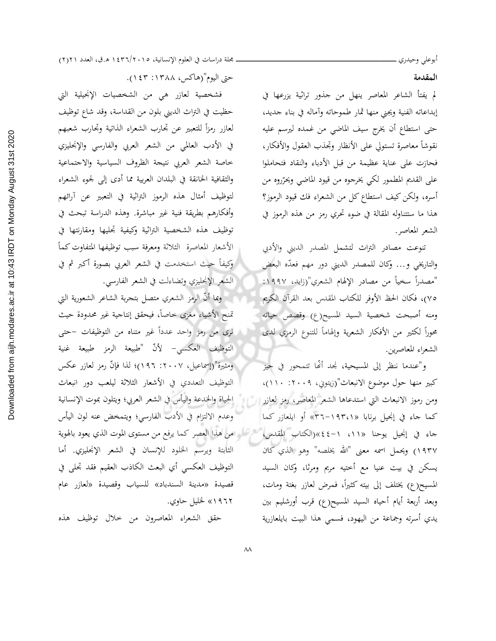المقدمة

لم يفتأ الشاعر المعاصر ينهل من جذور تراثية يزرعها في إبداعاته الفنية ويجنى منها ثمار طموحاته وأماله في بناء جديد، حتى استطاع أن يخرج سيف الماضي من غمده ليرسم عليه نقوشاً معاصرة تستولى على الأنظار وتحذب العقول والأفكار، فحازت على عناية عظيمة من قبل الأدباء والنقاد فتحاملوا على القديم المطمور لكي يخرجوه من قيود الماضي ويحرّروه من أسره، ولكن كيف استطاع كل من الشعراء فك قيود الرموز؟ هذا ما ستتناوله المقالة في ضوءٍ تحري رمزٍ من هذه الرموز في الشعر المعاصر.

تنوعت مصادر التراث لتشمل المصدر الديني والأدبي والتاريخي و… وكان للمصدر الديني دور مهم فعدّه البعض "مصدراً سخياً من مصادر الإلهام الشعري"(زايد، ١٩٩٧: ٧٥)، فكان الحظ الأوفر للكتاب المقدس بعد القرآن الكريم ومنه أصبحت شخصية السيد المسيح(ع) وقصص حياته محوراً لكثير من الأفكار الشعرية وإلهاماً للتنوع الرمزي لدى الشعراء المعاصرين.

و"عندما ننظر إلى المسيحية، نجد أُنَّما تتمحور في حيز كبير منها حول موضوع الانبعاث"(زيتوني، ٢٠٠٩: ١١٠)، ومن رموز الانبعاث التي استدعاها الشعر المعاصر، رمز لعازر السلم كما جاء في إنجيل برنابا «٣٦-١٩٣،١» أو ايلعازر كما جاء في إنجيل يوحنا «١١» ١-٤٤»(الكتاب المقدس، ١٩٣٧) ويحمل اسمه معنى "الله يخلصه" وهو الذي كان يسكن في بيت عنيا مع أختيه مريم ومرثا، وكان السيد المسيح(ع) يختلف إلى بيته كثيرًا، فمرض لعازر بغتة ومات، وبعد أربعة أيام أحياه السيد المسيح(ع) قرب أورشليم بين يدي أسرته وجماعة من اليهود، فسمى هذا البيت بايلعازرية

حتى اليوم"(هاكس، ١٣٨٨: ١٤٣).

فشخصية لعازر هي من الشخصيات الإنجيلية التي حظيت في التراث الديني بلون من القداسة، وقد شاع توظيف لعازر رمزأ للتعبير عن تجارب الشعراء الذاتية وتحارب شعبهم في الأدب العالمي من الشعر العربي والفارسي والإنحليزي خاصة الشعر العربي نتيجة الظروف السياسية والاجتماعية والثقافية الخانقة في البلدان العربية مما أدى إلى لجوء الشعراء لتوظيف أمثال هذه الرموز التراثية في التعبير عن آرائهم وأفكارهم بطريقة فنية غير مباشرة. وهذه الدراسة تبحث في توظيف هذه الشخصية التراثية وكيفية تحليها ومقارنتها في الأشعار المعاصرة الثلاثة ومعرفة سبب توظيفها المتفاوت كمأ وكيفاً حيث استخدمت في الشعر العربي بصورة أكبر ثم في الشعر الإنجليزي وتضاءلت في الشعر الفارسي.

ومما أنَّ الرمز الشعري متصل بتحربة الشاعر الشعورية التي تمنح الأشياء مغزى خاصاً، فيحقق إنتاجية غير محدودة حيث نرى من رمز واحد عدداً غير متناه من التوظيفات –حتى التوظيف العكسى– لأنّ "طبيعة الرمز طبيعة غنية ومثيرة"(إسماعيل، ٢٠٠٧: ١٩٦)؛ لذا فإنَّ رمز لعازر عكس التوظيف التعددي في الأشعار الثلاثة ليلعب دور انبعاث الحياة والخدعة واليأس في الشعر العربي؛ ويتلون بموت الإنسانية وعدم الالتزام في الأدب الفارسي؛ ويتمخض عنه لون اليأس لقرطان من هذا العصر كما يرفع من مستوى الموت الذي يعود بالهوية الثابتة ويرسم الخلود للإنسان في الشعر الإنجليزي. أما التوظيف العكسى أي البعث الكاذب العقيم فقد تحلي في قصيدة «مدينة السندباد» للسياب وقصيدة «لعازر عام ۰۱۹۶۲) لخليل حاوي.

حقق الشعراء المعاصرون من حلال توظيف هذه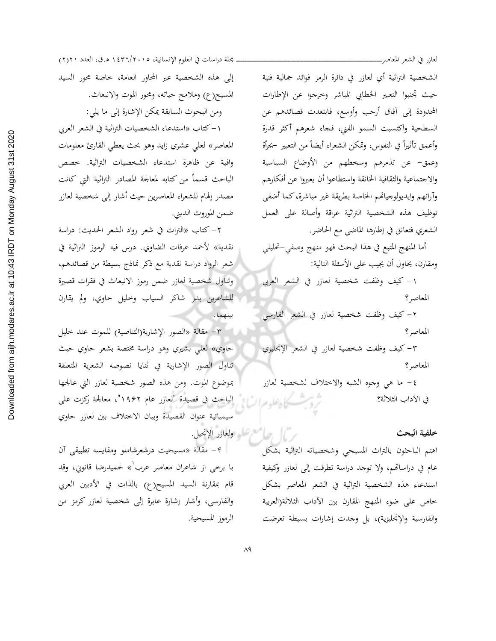الشخصية التراثية أي لعازر في دائرة الرمز فوائد جمالية فنية حيث تجنبوا التعبير الخطابي المباشر وحرجوا عن الإطارات المحدودة إلى آفاق أرحب وأوسع، فابتعدت قصائدهم عن السطحية واكتسبت السمو الفني، فحاء شعرهم أكثر قدرة وأعمق تأثيراً في النفوس، وتمكن الشعراء أيضاً من التعبير –بجرأة وعمق- عن تذمرهم وسخطهم من الأوضاع السياسية والاجتماعية والثقافية الخانقة واستطاعوا أن يعبروا عن أفكارهم وأرائهم وايديولوجياتهم الخاصة بطريقة غير مباشرة، كما أضفى توظيف هذه الشخصية التراثية عراقة وأصالة على العمل الشعري فتعانق في إطارها الماضي مع الحاضر.

أما المنهج المتبع في هذا البحث فهو منهج وصفى-تحليلي ومقارن، يحاول أن يجيب على الأسئلة التالية:

١- كيف وظفت شخصية لعازر في الشعر العربي المعاصر؟

٢- كيف وظفت شخصية لعازر في الشعر الفارسي المعاصر؟

٣- كيف وظفت شخصية لعازر في الشعر الإنجليزي المعاصر؟

٤- ما هي وجوه الشبه والاختلاف لشخصية لعازر في الآداب الثلاثة؟

## خلفية البحث

اهتم الباحثون بالتراث المسيحي وشخصياته التراثية بشكل عام في دراساتهم، ولا توجد دراسة تطرقت إلى لعازر وكيفية استدعاء هذه الشخصية التراثية في الشعر المعاصر بشكل خاص على ضوء المنهج المقارن بين الأداب الثلاثة(العربية والفارسية والإنجليزية)، بل وجدت إشارات بسيطة تعرضت

إلى هذه الشخصية عبر المحاور العامة، خاصة محور السيد المسيح(ع) وملامح حياته، ومحور الموت والانبعاث. ومن البحوث السابقة يمكن الإشارة إلى ما يلي:

١–كتاب «استدعاء الشخصيات التراثية في الشعر العربي المعاصر» لعلى عشري زايد وهو بحث يعطى القارئ معلومات وافية عن ظاهرة استدعاء الشخصيات التراثية. خصص الباحث قسماً من كتابه لمعالجة المصادر التراثية التي كانت مصدر إلهام للشعراء المعاصرين حيث أشار إلى شخصية لعازر ضمن الموروث الديني.

٢- كتاب «التراث في شعر رواد الشعر الحديث: دراسة نقدية» لأحمد عرفات الضاوي. درس فيه الرموز التراثية في شعر الرواد دراسة نقدية مع ذكر نماذج بسيطة من قصائدهم، وتناول شخصية لعازر ضمن رموز الانبعاث في فقرات قصيرة للشاعرين بدر شاكر السياب وخليل حاوي، ولم يقارن بينهما.

٣- مقالة «الصور الإشارية(التناصية) للموت عند خليل حاوي» لعلي بشيري وهو دراسة مختصة بشعر حاوي حيث تناول الصور الإشارية في ثنايا نصوصه الشعرية المتعلقة بموضوع الموت. ومن هذه الصور شخصية لعازر التي عالجها الباحث في قصيدة "لعازر عام ١٩۶٢"، معالجة ركزت على سيميائية عنوان القصيدة وبيان الاختلاف بين لعازر حاوي ريال والمعتمل ولعاند الإنجيل.

| e- مقالة «مسيحيت درشعرشاملو ومقايسه تطبيقي أن با برخي از شاعران معاصر عرب<sup>\</sup>» لحميدرضا قانوني، وقد قام بمقارنة السيد المسيح(ع) بالذات في الأدبين العربي والفارسي، وأشار إشارة عابرة إلى شخصية لعازر كرمز من الرموز المسيحية.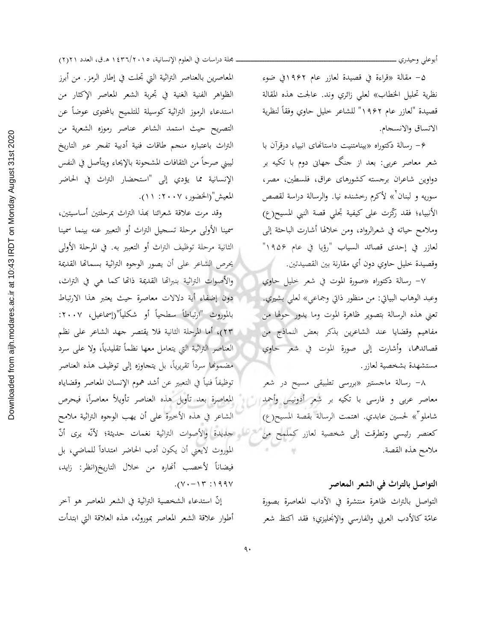أبوعلى وحيدري ـ

۵– مقالة «قراءة في قصيدة لعازر عام ۱۹۶۲في ضوءِ نظرية تحليل الخطاب» لعلى زائري وند. عالجت هذه المقالة قصيدة "لعازر عام ١٩۶٢" للشاعر خليل حاوي وفقاً لنظرية الاتساق والانسجام.

۶- رسالة دكتوراه «بينامتنيت داستانهاى انبياء درقرآن با شعر معاصر عربی: بعد از جنگ جهانی دوم با تکیه بر دواوین شاعران برجسته کشورهای عراق، فلسطین، مصر، سوريه و لبنان<sup>٢</sup>» لأكرم رخشنده نيا. والرسالة دراسة لقصص الأنبياء؛ فقد رِّذرت على كيفية تجلي قصة النبي المسيح(ع) وملامح حياته في شعرالرواد، ومن خلالها أشارت الباحثة إلى لعازر في إحدى قصائد السياب "رؤيا في عام ١٩٥۶" وقصيدة خليل حاوي دون أي مقارنة بين القصيدتين. معطى

٧- رسالة دكتوراه «صورة الموت في شعر خليل حاوي وعبد الوهاب البياتي: من منظور ذاتي وجماعي» لعلي بشيري. تعني هذه الرسالة بتصوير ظاهرة الموت وما يدور حولها من مفاهيم وقضايا عند الشاعرين بذكر بعض النماذج من قصائدهما، وأشارت إلى صورة الموت في شعر حاوي مستشهدة بشخصية لعازر .

٨- رسالة ماجستير «بررسي تطبيقي مسيح در شعر معاصر عربی و فارسی با تکیه بر شعر أدونیس وأحمد شاملو<sup>7</sup>» لحسين عابدي. اهتمت الرسالة بقصة المسيح(ع) كعنصر رئيسي وتطرقت إلى شخصية لعازر كملمح من ملامح هذه القصة.

التواصل بالتراث في الشعر المعاصر التواصل بالتراث ظاهرة منتشرة في الآداب المعاصرة بصورة عامّة كالأدب العربى والفارسي والإنجليزي؛ فقد اكتظ شعر

مجلة دراسات في العلوم الإنسانية، ١٤٣٦/٢٠١٥ ه.ق، العدد ٢١٢١) المعاصرين بالعناصر التراثية التي تجلت في إطار الرمز. من أبرز الظواهر الفنية الغنية في تجربة الشعر المعاصر الإكثار من استدعاء الرموز التراثية كوسيلة للتلميح بالمحتوى عوضاً عن التصريح حيث استمد الشاعر عناصر رموزه الشعرية من التراث باعتباره منجم طاقات فنية أدبية تفجر عبر التاريخ ليبني صرحاً من الثقافات المشحونة بالإيحاء ويتأصل في النفس الإنسانية مما يؤدي إلى "استحضار التراث في الحاضر المعيش"(الخضور، ٢٠٠٧: ١١).

وقد مرت علاقة شعرائنا بمذا التراث بمرحلتين أساسيتين، سمينا الأولى مرحلة تسجيل التراث أو التعبير عنه بينما سمينا الثانية مرحلة توظيف التراث أو التعبير به. في المرحلة الأولى يحرص الشاعر على أن يصور الوجوه التراثية بسماتها القديمة والأصوات التراثية بنبراتها القديمة ذاتها كما هي في التراث، دون إضفاء أية دلالات معاصرة حيث يعتبر هذا الارتباط بالموروث "ارتباطاً سطحياً أو شكلياً"(إسماعيل، ٢٠٠٧: ٢٣)، أما المرحلة الثانية فلا يقتصر جهد الشاعر على نظم العناصر التراثية التي يتعامل معها نظماً تقليدياً، ولا على سرد مضمونها سرداً تقريرياً، بل يتحاوزه إلى توظيف هذه العناصر توظيفاً فنياً في التعبير عن أشد هموم الإنسان المعاصر وقضاياه المعاصرة بعد تأويل هذه العناصر تأويلاً معاصراً، فيحرص الشاعر في هذه الأخيرة على أن يهب الوجوه التراثية ملامح لقماء السوائدة والأصوات التراثية نغمات حديثة؛ لأنّه يرى أنّ الموروث لايعني أن يكون أدب الحاضر امتداداً للماضي، بل فيضاناً لأخصب أنحاره من خلال التاريخ(انظر: زايد،  $. (Y \cdot - Y \cdot Y) \cdot 199Y$ 

إنَّ استدعاء الشخصية التراثية في الشعر المعاصر هو أخر أطوار علاقة الشعر المعاصر بموروثه، هذه العلاقة التي ابتدأت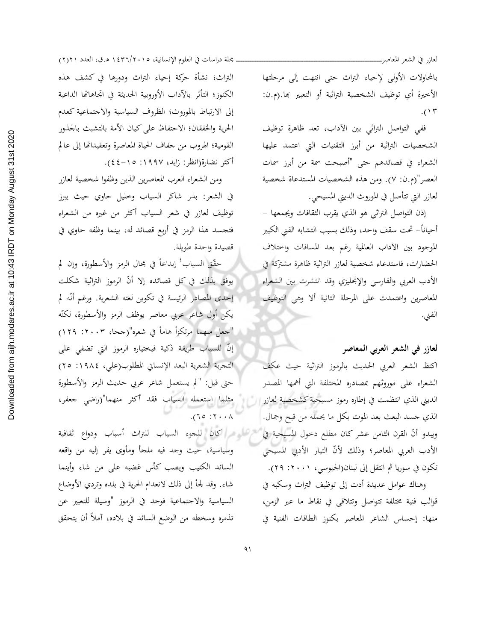بالمحاولات الأولى لإحياء التراث حتى انتهت إلى مرحلتها الأخيرة أي توظيف الشخصية التراثية أو التعبير بها.(م.ن:  $.()$ ٣

لعازر في الشعر المعاصر\_

ففي التواصل التراثي بين الآداب، تعد ظاهرة توظيف الشخصيات التراثية من أبرز التقنيات التي اعتمد عليها الشعراء في قصائدهم حتى "أصبحت سمة من أبرز سمات العصر"(م.ن: ٧). ومن هذه الشخصيات المستدعاة شخصية لعازر التي تتأصل في الموروث الديني المسيحي.

إذن التواصل التراثي هو الذي يقرب الثقافات ويجمعها – أحياناً– تحت سقف واحد، وذلك بسبب التشابه الفني الكبير الموجود بين الآداب العالمية رغم بعد المسافات واختلاف الحضارات، فاستدعاء شخصية لعازر التراثية ظاهرة مشتركة في الأدب العربي والفارسي والإنحليزي وقد انتشرت بين الشعراء المعاصرين واعتمدت على المرحلة الثانية ألا وهي التوظيف الفني.

## لعازر في الشعر العربي المعاصر

اكتظ الشعر العربي الحديث بالرموز التراثية حيث عكف الشعراء على موروثهم بمصادره المختلفة التي أهمها المصدر الديني الذي انتظمت في إطاره رموز مسيحية كشخصية لعازر السل الذي جسد البعث بعد الموت بكل ما يحمله من قبح وجمال. ويبدو أنَّ القرن الثامن عشر كان مطلع دخول المسيحية في الأدب العربي المعاصر؛ وذلك لأنّ التيار الأدبي المسيحي تكون في سوريا ثم انتقل إلى لبنان(الجيوسي، ٢٠٠١: ٢٩).

وهناك عوامل عديدة أدت إلى توظيف التراث وسكبه في قوالب فنية مختلفة تتواصل وتتلاقى في نقاط ما عبر الزمن، منها: إحساس الشاعر المعاصر بكنوز الطاقات الفنية في

مجلة دراسات في العلوم الإنسانية، ١٤٣٦/٢٠١٥ ه.ق، العدد ٢١٢١) التراث؛ نشأة حركة إحياء التراث ودورها في كشف هذه الكنوز؛ التأثر بالآداب الأوروبية الحديثة في اتحاهاتها الداعية إلى الارتباط بالموروث؛ الظروف السياسية والاجتماعية كعدم الحرية والخفقان؛ الاحتفاظ على كيان الأمة بالتشبث بالجذور القومية؛ الهروب من جفاف الحياة المعاصرة وتعقيداتها إلى عالم أكثر نضارة(انظر: زايد، ١٩٩٧: ١٥-٤٤).

ومن الشعراء العرب المعاصرين الذين وظفوا شخصية لعازر في الشعر: بدر شاكر السياب وحليل حاوي حيث يبرز توظيف لعازر في شعر السياب أكثر من غيره من الشعراء فتجسد هذا الرمز في أربع قصائد له، بينما وظفه حاوي في قصيدة واحدة طويلة.

حقَّقِ السياب ۚ إبداعاً في مجال الرمز والأسطورة، وإن لم يوفق بذلك في كل قصائده إلا أنّ الرموز التراثية شكلت إحدى المصادر الرئيسة في تكوين لغته الشعرية. ورغم أنّه لم يكن أول شاعر عربي معاصر يوظف الرمز والأسطورة، لكنّه "جعل منهما مرتكزاً هاماً في شعره"(جحا، ٢٠٠٣: ١٢٩) إنَّ للسياب طريقة ذكية فيختياره الرموز التي تضفى على التجربة الشعرية البعد الإنساني المطلوب(على، ١٩٨٤: ٢٥) حتى قيل: "لم يستعمل شاعر عربي حديث الرمز والأسطورة مثلما استعمله السياب فقد أكثر منهما"(راضى جعفر،  $\lambda \cdot \cdot 7$ : 0  $\Gamma$ ).

تسرعه واكان للجوء السياب للتراث أسباب ودواع ثقافية وسياسية، حيث وجد فيه ملحأ ومأوى يفر إليه من واقعه السائد الكثيب ويصب كأس غضبه على من شاء وأينما شاء. وقد لجأ إلى ذلك لانعدام الحرية في بلده وتردي الأوضاع السياسية والاجتماعية فوحد في الرموز "وسيلة للتعبير عن تذمره وسخطه من الوضع السائد في بلاده، آملاً أن يتحقق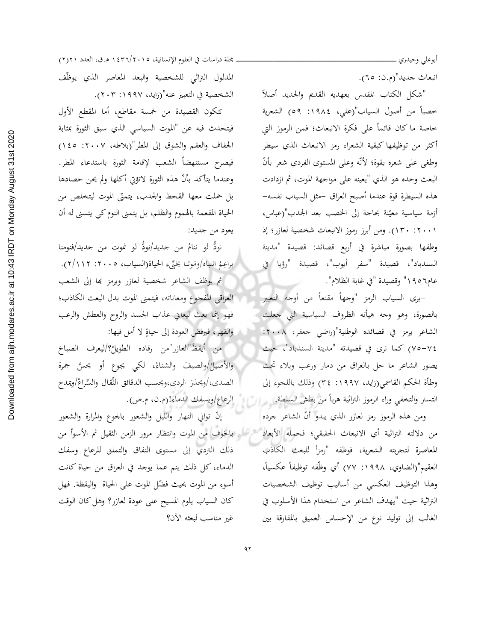أبوعلى وحيدري ــــ

انبعاث جديد"(م.ن: ٦٥).

"شكل الكتاب المقدس بعهديه القديم والجديد أصلأ خصباً من أصول السياب"(علي، ١٩٨٤: ٥٩) الشعرية خاصة ما كان قائماً على فكرة الانبعاث؛ فمن الرموز التي أكثر من توظيفها كبقية الشعراء رمز الانبعاث الذي سيطر وطغي على شعره بقوة؛ لأنَّه وعلى المستوى الفردي شعر بأنَّ البعث وحده هو الذي "يعينه على مواجهة الموت، ثم ازدادت هذه السيطرة قوة عندما أصبح العراق –مثل السياب نفسه– أزمة سياسية معيّنة بحاجة إلى الخصب بعد الجدب"(عباس، ٠١٢٠١). ومن أبرز رموز الانبعاث شخصية لعازر؛ إذ وظفها بصورة مباشرة في أربع قصائد: قصيدة "مدينة السندباد"، قصيدة "سفر أيوب"، قصيدة "رؤيا في عام٦٥٦ ١ " وقصيدة "في غابة الظلام".

–يري السياب الرمز "وجهاً مقنعاً من أوجه التعبير بالصورة، وهو وحه هيأته الظروف السياسية التي جعلت الشاعر يرمز في قصائده الوطنية"(راضي جعفر، ٢٠٠٨: ٧٤–٧٥) كما نرى في قصيدته "مدينة السندباد"، حيث يصور الشاعر ما حل بالعراق من دمار ورعب وبلاء تحت وطأة الحكم القاسمي(زايد، ١٩٩٧: ٣٤) وذلك باللحوء إلى التستر والتخفي وراء الرموز التراثية هرباً من بطش السلطة.

ومن هذه الرموز رمز لعازر الذي يبدو أنّ الشاعر جرده من دلالته التراثية أي الانبعاث الحقيقي؛ فحمله الأبعاد من الجنوف من الموت وانتظار مرور الزمن الثقيل ثم الأسوأ من المعاصرة لتحربته الشعرية، فوظفه "رمزاً للبعث الكاذب العقيم"(الضاوي، ١٩٩٨: ٧٧) أي وظَّفه توظيفاً عكسياً، وهذا التوظيف العكسي من أساليب توظيف الشخصيات التراثية حيث "يهدف الشاعر من استخدام هذا الأسلوب في الغالب إلى توليد نوع من الإحساس العميق بالمفارقة بين

مجلة دراسات في العلوم الإنسانية، ١٤٣٦/٢٠١٥ ه.ق، العدد ٢١٢١) المدلول التراثي للشخصية والبعد المعاصر الذي يوظّف الشخصية في التعبير عنه"(زايد، ١٩٩٧: ٢٠٣).

تتكون القصيدة من خمسة مقاطع، أما المقطع الأول فيتحدث فيه عن "الموت السياسي الذي سبق الثورة بمثابة الجفاف والعقم والشوق إلى المطر"(بلاطه، ٢٠٠٧: ١٤٥) فيصرخ مستنهضاً الشعب لإقامة الثورة باستدعاء المطر. وعندما يتأكد بأنَّ هذه الثورة لاتؤتي أكلها ولم يحن حصادها بل حملت معها القحط والجدب، يتمنّى الموت ليتخلص من الحياة المفعمة بالهموم والظلم، بل يتمنى النوم كي يتسنى له أن يعود من جديد:

نودُّ لو ننامُ من جديد/نودُّ لو نموت من جديد/فنومنا براعِمُ انتباه/ومَوتنا يخيِّيء الحياة(السياب، ٢٠٠٥: ٢/١١٢). ثم يوظف الشاعر شخصية لعازر ويرمز بها إلى الشعب العراقي المفحوع ومعاناته، فيتمنى الموت بدل البعث الكاذب؛ فهو إنما بعث ليعاني عذاب الجسد والروح والعطش والرعب والقهر، فيرفض العودة إلى حياةٍ لا أمل فيها:

من أيقظَ"العازر"من رقاده الطويلْ؟/ليعرف الصباحَ والأصيلُ/والصيفَ والشتاءْ، لكي يجوعٍ أو يحسَّ جمرة الصدى،/ويحذرَ الردي،ويحسب الدقائق الثِّقال والسِّراعْ/ويمدح الرعاع/ويسفك الدماء!(م.ن، م.ص).

إنَّ توالي النهار والليل والشعور بالجوع والمرارة والشعور ذلك التردي إلى مستوى النفاق والتملق للرعاع وسفك الدماء، كل ذلك ينم عما يوجد في العراق من حياة كانت أسوءِ من الموت بحيث فضّل الموت على الحياة واليقظة. فهل كان السياب يلوم المسيح على عودة لعازر؟ وهل كان الوقت غير مناسب لبعثه الآن؟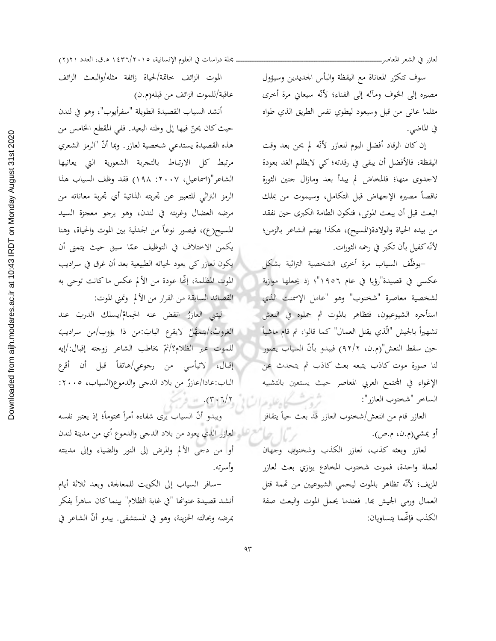سوف تتكرّر المعاناة مع اليقظة والبأس الجديدين وسيؤول مصيره إلى الخوف ومآله إلى الفناء؛ لأنّه سيعانى مرة أحرى مثلما عاني من قبل وسيعود ليطوي نفس الطريق الذي طواه في الماضي.

إن كان الرقاد أفضل اليوم للعازر لأنّه لم يحن بعد وقت اليقظة، فالأفضل أن يبقى في رقدته؛ كي لايظلم الغد بعودة لاجدوى منها؛ فالمخاض لم يبدأ بعد ومازال جنين الثورة ناقصاً مصيره الإجهاض قبل التكامل، وسيموت من يملك البعث قبل أن يبعث الموتى، فتكون الطامة الكبرى حين نفقد من بيده الحياة والولادة(المسيح)، هكذا يهتم الشاعر بالزمن؛ لأنّه كفيل بأن تكبر في رحمه الثورات.

-يوظّف السياب مرة أخرى الشخصية التراثية بشكل عكسى في قصيدة"رؤيا في عام ١٩٥٦"؛ إذ يجعلها موازية لشخصية معاصرة "شخنوب" وهو "عامل الإسمنت الذي استأجره الشيوعيون، فتظاهر بالموت ثم حملوه في النعش تشهيراً بالجيش "الّذي يقتل العمال" كما قالوا، ثم قام ماشياً حين سقط النعش"(م.ن، ٩٢/٢) فيبدو بأنّ السياب يصور لنا صورة موت كاذب يتبعه بعث كاذب ثم يتحدث عن الإغواء في المحتمع العربي المعاصر حيث يستعين بالتشبيه الساخر "شخنوب العازر": زیت که علی هدای از بالاین برد.

> العازر قام من النعش/شخنوب العازر قد بعث حياً يتقافز أو يمشي(م.ن، م.ص).

> لعازر وبعثه كذب، لعازر الكذب وشخنوب وجهان لعملة واحدة، فموت شخنوب المخادع يوازي بعث لعازر المزيف؛ لأنَّه تظاهر بالموت ليحمى الشيوعيين من تهمة قتل العمال ورمي الجيش بها. فعندما يحمل الموت والبعث صفة الكذب فإنَّهما يتساويان:

ـ مجلة دراسات في العلوم الإنسانية، ١٥. ١٤٣٦/٢٠١ ه.ق، العدد ٢١٢١)

الموت الزائف حاتمة/لحياة زائفة مثله/والبعث الزائف عاقبة/للموت الزائف من قبله(م.ن)

أنشد السياب القصيدة الطويلة "سفرأيوب"، وهو في لندن حيث كان يحنّ فيها إلى وطنه البعيد. ففي المقطع الخامس من هذه القصيدة يستدعى شخصية لعازر. وبما أنّ "الرمز الشعري مرتبط كل الارتباط بالتحربة الشعورية التي يعانيها الشاعر"(اسماعيل، ٢٠٠٧: ١٩٨) فقد وظف السياب هذا الرمز التراثي للتعبير عن تجربته الذاتية أي تجربة معاناته من مرضه العضال وغربته في لندن، وهو يرجو معجزة السيد المسيح(ع)، فيصور نوعاً من الجدلية بين الموت والحياة، وهنا يكمن الاختلاف في التوظيف عمّا سبق حيث يتمنى أن يكون لعازر كي يعود لحياته الطبيعية بعد أن غرق في سراديب الموت المظلمة، إنَّها عودة من الألم عكس ما كانت توحي به القصائد السابقة من الفرار من الألم وتمنى الموت:

ليتني العازرُ انقض عنه الحِمامُ/يسلك الدربَ عند الغروبْ،/يتمهَّلُ لايقرع البابَ:من ذا يؤوب/من سراديبَ للموت عبر الظلام؟/ثمّ يخاطب الشاعر زوجته إقبال:/إيه إقبال، لاتيأسى من رجوعي/هاتفاً قبل أن أقرع الباب:عادا/عازرٌ من بلاد الدجي والدموع(السياب، ٢٠٠٥:

ويبدو أنَّ السياب يرى شفاءه أمراً محتوماً؛ إذ يعتبر نفسه حمر المستقبل المجازل الذي يعود من بلاد الدجي والدموع أي من مدينة لندن أو من دجي الألم والمرض إلى النور والضياء وإلى مدينته وأسرته.

–سافر السياب إلى الكويت للمعالجة، وبعد ثلاثة أيام أنشد قصيدة عنوانها "في غابة الظلام" بينما كان ساهراً يفكر بمرضه وبحالته الحزينة، وهو في المستشفى. يبدو أنَّ الشاعر في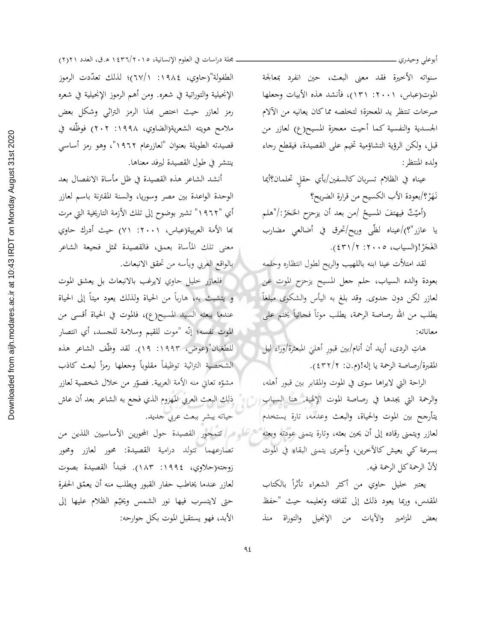سنواته الأخيرة فقد معنى البعث، حين انفرد بمعالجة الموت(عباس، ٢٠٠١: ١٣١)، فأنشد هذه الأبيات وجعلها صرخات تنتظر يد المعجزة؛ لتخلصه مماكان يعانيه من الآلام الجسدية والنفسية كما أحيت معجزة المسيح(ع) لعازر من قبل، ولكن الرؤية التشاؤمية تخيم على القصيدة، فيقطع رجاء ولده المنتظر :

أبوعلى وحيدري ـ

عيناه في الظلام تسربان كالسفين/بأي حقلٍ تحلمان؟أيما نَهَرْ؟/بعودة الأب الكسيح من قرارة الضريح؟

(أميّتٌ فيهتفَ المسيحْ /من بعد أن يزحزح الحَجَرْ:/"هلم يا عازر"؟)/عيناه لظّي وريح/تحرق في أضالعي مضارب الغَجَرْ!(السياب، ٢٠٠٥: ٤٣١/٢).

لقد امتلأت عينا ابنه باللهيب والريح لطول انتظاره وحلمه بعودة والده السياب، حلم جعل المسيح يزحزح الموت عن لعازر لكن دون جدوى. وقد بلغ به اليأس والشكوى مبلغاً يطلب من الله رصاصة الرحمة، يطلب موتاً فحائياً يختم على معاناته:

هاتِ الردى، أريد أن أنام/بين قبورِ أهليَ المبعثرة/وراء ليل المقبرة/رصاصة الرحمة يا إله!(م.ن: ٤٣٢/٢).

الراحة التي لايراها سوى في الموت والمقابر بين قبور أهله، والرحمة التي يجدها في رصاصة الموت الإلهية. هنا السياب السلم يتأرجح بين الموت والحياة، والبعث وعدمه، تارة يستخدم لعازر ويتمنى رقاده إلى أن يحين بعثه، وتارة يتمنى عودته وبعثه للترسل على التمحور القصيدة حول المحورين الأساسيين اللذين من بسرعة كي يعيش كالآخرين، وأخرى يتمنى البقاء في الموت لأنّ الرحمة كل الرحمة فيه.

> يعتبر خليل حاوي من أكثر الشعراء تأثراً بالكتاب المقدس، وربما يعود ذلك إلى ثقافته وتعليمه حيث "حفظ بعض المزامير والآيات من الإنجيل والتوراة منذ

مجلة دراسات في العلوم الإنسانية، ١٤٣٦/٢٠١٥ ه.ق، العدد ٢١٢١) الطفولة"(حاوي، ١٩٨٤: ٦٧/١)؛ لذلك تعدَّدت الرموز الإنجيلية والتوراتية في شعره. ومن أهم الرموز الإنجيلية في شعره رمز لعازر حيث احتص بهذا الرمز التراثي وشكل بعض ملامح هويته الشعرية(الضاوي، ١٩٩٨: ٢٠٢) فوظَّفه في قصيدته الطويلة بعنوان "لعازرعام ١٩٦٢"، وهو رمز أساسى ينتشر في طول القصيدة ليرفد معناها.

أنشد الشاعر هذه القصيدة في ظل مأساة الانفصال بعد الوحدة الواعدة بين مصر وسوريا، والسنة المقترنة باسم لعازر أي "١٩٦٢" تشير بوضوح إلى تلك الأزمة التاريخية التي مرت بَما الأمة العربية(عباس، ٢٠٠١: ٧١) حيث أدرك حاوي معنى تلك المأساة بعمق، فالقصيدة تمثل فجيعة الشاعر أ بالواقع العربي ويأسه من تحقق الانبعاث.

فلعازر خليل حاوي لايرغب بالانبعاث بل يعشق الموت و يتشبث به، هارباً من الحياة ولذلك يعود ميتاً إلى الحياة عندما يبعثه السيد المسيح(ع)، فالموت في الحياة أقسى من الموت نفسه؛ إنّه "موت للقيم وسلامة للجسد، أي انتصار للطغيان"(عوض، ١٩٩٣: ١٩). لقد وظَّف الشاعر هذه الشخصية التراثية توظيفاً مقلوباً وجعلها رمزاً لبعث كاذب مشوِّه تعاني منه الأمة العربية. فصوِّر من خلال شخصية لعازر ذلك البعث العربي المهزوم الذي فجع به الشاعر بعد أن عاش حياته يبشر ببعث عربي جديد.

تصارعهما تتولد درامية القصيدة: محور لعازر ومحور زوجته(حلاوي، ١٩٩٤: ١٨٣). فتبدأ القصيدة بصوت لعازر عندما يخاطب حفار القبور ويطلب منه أن يعمّق الحفرة حتى لايتسرب فيها نور الشمس ويخيّم الظلام عليها إلى الأبد، فهو يستقبل الموت بكل جوارحه: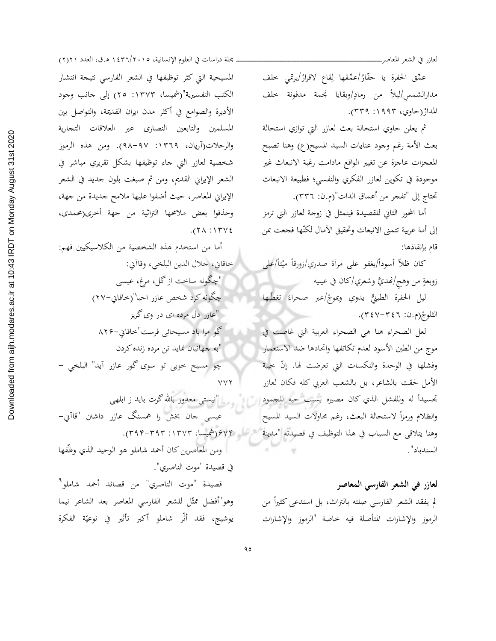لعازر في الشعر المعاصر\_

عمِّق الحفرة يا حفّارُ/عمِّقها لِقاع لاقرارْ/يرتمى خلف مدارالشمس/ليلاً من رمادٍ/وبقايا نجمة مدفونة خلف المدارْ(حاوي، ١٩٩٣: ٣٣٩).

ثم يعلن حاوي استحالة بعث لعازر التي توازي استحالة بعث الأمة رغم وجود عنايات السيد المسيح(ع) وهنا تصبح المعجزات عاجزة عن تغيير الواقع مادامت رغبة الانبعاث غير موجودة في تكوين لعازر الفكري والنفسي؛ فطبيعة الانبعاث تحتاج إلى "تفحر من أعماق الذات"(م.ن: ٣٣٦).

أما المحور الثاني للقصيدة فيتمثل في زوجة لعازر التي ترمز إلى أمة عربية تتمنى الانبعاث وتحقيق الآمال لكنّها فجعت بمن قام بإنقاذها:

كان ظلاً أسوداً/يغفو على مرآة صدري/زورقاً ميْتاً/على زوبعةٍ من وهج/نهديَّ وشعري/كان في عينيه

ليل الحفرة الطينيُّ يدوي ويموجْ/عبر صحراءَ تغطّيها الثلوجْ(م.ن: ٣٤٧-٣٤٧).

لعل الصحراء هنا هي الصحراء العربية التي غاصت في موج من الطين الأسود لعدم تكاتفها واتحادها ضد الاستعمار وفشلها في الوحدة والنكسات التي تعرضت لها. إنّ خيبة الأمل لحقت بالشاعر، بل بالشعب العربي كله فكان لعازر تحسيداً له وللفشل الذي كان مصيره بسبب حبه للجمود السلم وسيل نيستى معذور بالله گرت بايد ز ابلهى والظلام ورمزأ لاستحالة البعث، رغم محاولات السيد المسيح وهنا يتلاقى مع السياب في هذا التوظيف في قصيدته "مدينة محمد السيام ٢٧٣(شميسا، ٣٩٣-٣٩٣). السندباد".

> لعازر في الشعر الفارسي المعاصر لم يفقد الشعر الفارسي صلته بالتراث، بل استدعى كثيراً من الرموز والإشارات المتأصلة فيه خاصة "الرموز والإشارات

ـ محلة دراسات في العلوم الإنسانية، ١٤٣٦/٢٠١٥ ه.ق، العدد ٢١٢١) المسيحية التي كثر توظيفها في الشعر الفارسي نتيجة انتشار الكتب التفسيرية"(شميسا، ١٣٧٣: ٢٥) إلى جانب وجود الأديرة والصوامع في أكثر مدن ايران القديمة، والتواصل بين المسلمين والتابعين النصاري عبر العلاقات التجارية والرحلات(آريان، ١٣٦٩: ٩٨-٩٨). ومن هذه الرموز شخصية لعازر التي جاء توظيفها بشكل تقريري مباشر في الشعر الإيراني القديم، ومن ثم صبغت بلون جديد في الشعر الإيراني المعاصر، حيث أضفوا عليها ملامح جديدة من جهة، وحذفوا بعض ملامحها التراثية من جهة أخرى(محمدى،  $.$ (٢٨:١٣٧٤)

أما من استخدم هذه الشخصية من الكلاسيكيين فهم: خاقاني، جلال الدين البلخي، وقاآني: "چگونه ساخت از گل، مرغ، عیسی چگونه كرد شخص عازر احيا"(خاقاني-٢٧) "عازر دل مرده ای در وی گریز گو مرا باد مسیحائی فرست"خاقایی–۸۲۶ "به جهانیان نماید تن مرده زنده کردن چو مسيح حوبي تو سوى گور عازر آيد" البلخي -**VVY** 

عیسی جان بخش را همسنگ عازر داشتن "قاآني– ومن المعاصرين كان أحمد شاملو هو الوحيد الذي وظَّفها في قصيدة "موت الناصري". قصيدة "موت الناصري" من قصائد أحمد شاملو " وهو"أفضل ممثّل للشعر الفارسي المعاصر بعد الشاعر نيما يوشيج، فقد أثَّر شاملو أكبر تأثير في نوعيّة الفكرة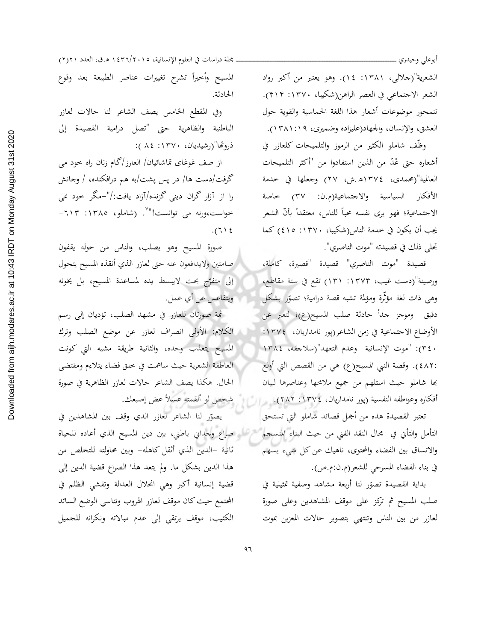أبوعلى وحيدري ـ

الشعرية"(جلالبي، ١٣٨١: ١٤). وهو يعتبر من أكبر رواد الشعر الاجتماعي في العصر الراهن(شكيبا، ١٣٧٠: ٤١۴). تتمحور موضوعات أشعار هذا اللغة الحماسية والقوية حول العشق، والإنسان، والجهاد(عليزاده وضميري، ١٣٨١:١٩).

وظّف شاملو الكثير من الرموز والتلميحات كلعازر في أشعاره حتى عُدّ من الذين استفادوا من "أكثر التلميحات العالمية"(محمدى، ١٣٧٤هـ.ش، ٢٧) وجعلها في خدمة الأفكار السياسية والاجتماعية(م.ن: ٣٧) خاصة الاجتماعية؛ فهو يرى نفسه محباً للناس، معتقداً بأنّ الشعر يجب أن يكون في حدمة الناس(شكيبا، ١٣٧٠: ٤١٥) كما تحلى ذلك في قصيدته "موت الناصري".

قصيدة "موت الناصري" قصيدة "قصيرة، كاملة، ورصينة"(دست غيب، ١٣٧٣: ١٣١) تقع في ستة مقاطع، وهي ذات لغة مؤثَّرة ومؤلمة تشبه قصة درامية؛ تصوَّر بشكل دقيق وموجز جداً حادثة صلب المسيح(ع)؛ لتعبر عن الأوضاع الاجتماعية في زمن الشاعر(پور نامداريان، ١٣٧٤: ٢٤٠): "موت الإنسانية وعدم التعهد"(سلاجقه، ١٣٨٤ :٤٨٢). وقصة النبي المسيح(ع) هي من القصص التي أولع بها شاملو حيث استلهم من جميع ملامحها وعناصرها لبيان أفكاره وعواطفه النفسية (پور نامداريان، ١٣٧٤: ٢٨٢). و إلى المستخص لو ألقمته عسلاً عض إصبعك.

تعتبر القصيدة هذه من أجمل قصائد شاملو التي تستحق التأمل والتأني في مجال النقد الفني من حيث البناء المنسجم " إلى صلواع وجداني باطني، بين دين المسيح الذي أعاده للحياة والاتساق بين الفضاء والمحتوى، ناهيك عن كل شيء يسهم في بناء الفضاء المسرحي للشعر(م.ن:م.ص).

> بداية القصيدة تصوّر لنا أربعة مشاهد وصفية تمثيلية في صلب المسيح ثم تركز على موقف المشاهدين وعلى صورة لعازر من بين الناس وتنتهي بتصوير حالات المعزين بموت

مجلة دراسات في العلوم الإنسانية، ١٤٣٦/٢٠١٥ ه.ق، العدد ٢١٢١) المسيح وأخيرأ تشرح تغييرات عناصر الطبيعة بعد وقوع الحادثة.

وفي المقطع الخامس يصف الشاعر لنا حالات لعازر الباطنية والظاهرية حتى "تصل درامية القصيدة إلى ذروتحا"(رشيديان، ١٣٧٠: ٨٤):

از صف غوغای تماشائیان/ العارز/گام زنان راه حود می گرفت/دست ها/ در پس پشت/به هم درافکنده، / وجانش را از آزار گران دینی گزنده/آزاد یافت:/"–مگر خود نمی خواست،ورنه می توانست!"<sup>۷</sup>. (شاملو، ۱۳۸۰: ۱۲۱۳- $.711$ 

صورة المسيح وهو يصلب، والناس من حوله يقفون صامتين ولايدافعون عنه حتى لعازر الذي أنقذه المسيح يتحول إلى متفرِّج بحت لايبسط يده لمساعدة المسيح، بل يخونه ويتقاعس عن أي عمل.

ثمة صورتان للعازر في مشهد الصلب، تؤديان إلى رسم الكلام: الأولى انصراف لعازر عن موضع الصلب وترك المسيح يتعذب وحده، والثانية طريقة مشيه التي كونت العاطفة الشعرية حيث ساهمت في حلق فضاء يتلاءم ومقتضى الحال. هكَّذا يصف الشاعر حالات لعازر الظاهرية في صورة

يصوّر لنا الشاعر لعازر الذي وقف بين المشاهدين في ثانية –الدين الذي أثقل كاهله– وبين محاولته للتخلص من هذا الدين بشكل ما. ولم يتعد هذا الصراع قضية الدين إلى قضية إنسانية أكبر وهي انحلال العدالة وتفشى الظلم في المحتمع حيث كان موقف لعازر الهروب وتناسى الوضع السائد الكثيب، موقف يرتقى إلى عدم مبالاته ونكرانه للجميل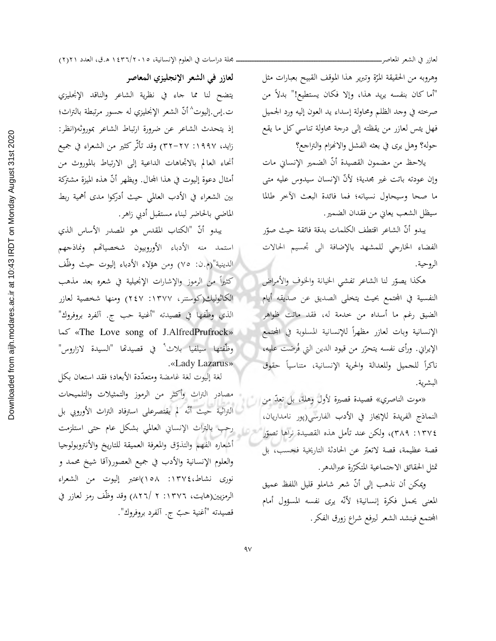لعازر في الشعر المعاصر\_

وهروبه من الحقيقة المرّة وتبرير هذا الموقف القبيح بعبارات مثل "أما كان بنفسه يريد هذا، وإلا فكان يستطيع!" بدلاً من صرخته في وجد الظلم ومحاولة إسداء يد العون إليه ورد الجميل فهل يئس لعازر من يقظته إلى درجة محاولة تناسى كل ما يقع حوله؟ وهل يرى في بعثه الفشل والانهزام والتراجع؟

يلاحظ من مضمون القصيدة أنّ الضمير الإنساني مات وإن عودته باتت غير مجدية؛ لأنّ الإنسان سيدوس عليه متى ما صحا وسيحاول نسيانه؛ فما فائدة البعث الآخر طللا سيظل الشعب يعاني من فقدان الضمير.

يبدو أنّ الشاعر اقتطف الكلمات بدقة فائقة حيث صوّر الفضاء الخارجي للمشهد بالإضافة الى تحسيم الحالات الروحية.

هكذا يصوّر لنا الشاعر تفشى الخيانة والخوف والأمراض النفسية في المحتمع بحيث يتخلى الصديق عن صديقه أيام الضيق رغم ما أسداه من حدمة له، فقد ماتت ظواهر الإنسانية وبات لعازر مظهراً للإنسانية المسلوبة في المحتمع الإيراني. ورأى نفسه يتحرّر من قيود الدين التي فُرضت عليه، ناكراً للحميل وللعدالة والحرية الإنسانية، متناسياً حقوق البشرية.

«موت الناصري» قصيدة قصيرة لأول وهلة، بل تعدّ من ا النماذج الفريدة للإيجاز في الأدب الفارسي(پور نامداريان، ٢١٣٧٤: ٣٨٩)، ولكن عند تأمل هذه القصيدة نراها تصوّر قصة عظيمة، قصة لاتعبَّر عن الحادثة التاريخية فحسب، بل تمثل الحقائق الاحتماعية المتكرّرة عبرالدهر.

ويمكن أن نذهب إلى أنّ شعر شاملو قليل اللفظ عميق المعنى يحمل فكرة إنسانية؛ لأنَّه يرى نفسه المسؤول أمام المجتمع فينشد الشعر ليرفع شراع زورق الفكر.

لعازر في الشعر الإنجليزي المعاصر

يتضح لنا مما حاء في نظرية الشاعر والناقد الإنحليزي ت.إس.إليوت^أنّ الشعر الإنجليزي له جسور مرتبطة بالتراث؛ إذ يتحدث الشاعر عن ضرورة ارتباط الشاعر بموروثه(انظر: زايد، ١٩٩٧: ٢٧–٣٢) وقد تأثّر كثير من الشعراء في جميع أنحاء العالم بالاتجاهات الداعية إلى الارتباط بالموروث من أمثال دعوة إليوت في هذا المحال. ويظهر أنّ هذه الميزة مشتركة بين الشعراء في الأدب العالمي حيث أدركوا مدى أهمية ربط الماضي بالحاضر لبناء مستقبل أدبى زاهر.

يبدو أنّ "الكتاب المقدس هو المصدر الأساس الذي استمد منه الأدباء الأوروبيون شخصياتهم ونماذجهم الدينية"(م.ن: ٧٥) ومن هؤلاء الأدباء إليوت حيث وظَّف كثيراً من الرموز والإشارات الإنجيلية في شعره بعد مذهب الكَاثْوليك(كوستنر، ١٣٧٧: ٢٤٧) ومنها شخصية لعازر الذي وظَّفها في قصيدته "أغنية حب ج. آلفرد بروفروك" «The Love song of J.AlfredPrufrock» كما وظَّفتها سيلفيا بلاث ٌ في قصيدتها "السيدة لازاروس" .«Lady Lazarus»

لغة إليوت لغة غامضة ومتعدّدة الأبعاد؛ فقد استعان بكل مصادر التراث وأكثر من الرموز والتمثيلات والتلميحات التراثية حيث أنَّه لم يقتصرعلى استرفاد التراث الأوروبي بل رحب بالتراث الإنساني العالمي بشكل عام حتى استلزمت أشعاره الفهم والتذوق والمعرفة العميقة للتاريخ والأنتروبولوجيا والعلوم الإنسانية والأدب في جميع العصور(أقا شيخ محمد و نوري نشاط،١٣٧٤: ١٥٨)اعتبر إليوت من الشعراء الرمزيين(هايت، ١٣٧٦: ٢ /٨٢٦) وقد وظَّف رمز لعازر في قصيدته "أغنية حبّ ج. آلفرد بروفروك".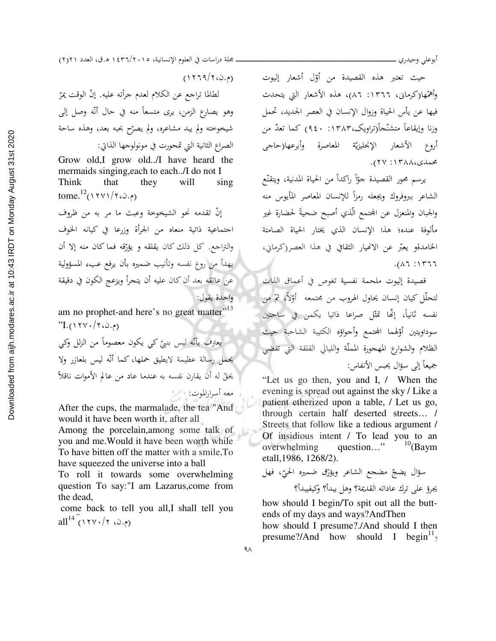حيث تعتبر هذه القصيدة من أوّل أشعار إليوت وأهمّها(كرماني، ١٣٦٦: ٨٦)، هذه الأشعار التي يتحدث فيها عن يأس الحياة وزوال الإنسان في العصر الجديد، تحمل وزنا وإيقاعاً متشنَّجاً(تراويک،۱۳۸۳: ۹٤۰) کما تعدُّ من أروع الأشعار الإنحليزيّة المعاصرة وأبرعها(حاجي محمدي،١٣٨٨: ٢٧).

يرسم محور القصيدة جوّاً راكداً من الحياة المدنية، ويتقنّع الشاعر ببروفروك ويجعله رمزأ للإنسان المعاصر المأيوس منه والجبان والمنعزل عن المحتمع الّذي أصبح ضحيةً لحضارة غير مألوفة عنده؛ هذا الإنسان الذي يختار الحياة الصامتة الخامدةو يعبّر عن الانهيار الثقافي في هذا العصر(كرماني،  $.(\lambda 7.11777$ 

قصيدة إليوت ملحمة نفسية تغوص في أعماق الذات لتحلَّل كيان إنسان يحاول الهروب من مجتمعه أوَّلاً، ثمَّ من .<br>نفسه ثانياً، إنَّحا تمثّل صراعا ذاتيا يكمن في ساحتين سوداويتين أؤلهما الجحتمع وأجواؤه الكئيبة الشاحبة حيث الظلام والشوارع المهجورة المملّة والليالي القلقة التي تفضى جميعاً إلى سؤال يحبس الأنفاس:

"Let us go then, you and I, / When the evening is spread out against the sky / Like a patient etherized upon a table, / Let us go, through certain half deserted streets... / Streets that follow like a tedious argument / Of insidious intent / To lead you to an  $^{10}$ (Baym overwhelming question..." etall, 1986, 1268/2).

how should I begin/To spit out all the buttends of my days and ways?AndThen

how should I presume?./And should I then presume?/And how should I begin<sup>11</sup>?

مجلة دراسات في العلوم الإنسانية، ١٤٣٦/٢٠١٥ ه.ق، العدد ٢١٢١)

 $(1779/760.6)$ 

لطالما تراجع عن الكلام لعدم جرأته عليه. إنّ الوقت يمرّ وهو يصارع الزمن، يرى متسعاً منه في حال أنّه وصل إلى شيخوخته ولم يبد مشاعره، ولم يصرّح بحبه بعد، وهذه ساحة الصراع الثانية التي تمحورت في مونولوجها الذاتي:

Grow old, I grow old../I have heard the Think that they will sing tome.<sup>12</sup>(١٢٧١/٢، ف.٥)

إنّ تقدمه نحو الشيخوخة وعبث ما مر به من ظروف اجتماعية ذاتية منعاه من الجرأة وزرعا في كيانه الخوف والتزاجع. كل ذلك كان يقلقه و يؤرِّقه فما كان منه إلا أن يهدأ من روع نفسه وتأنيب ضميره بأن يرفع عبء المسؤولية عن عاتقه بعد أن كان عليه أن يتجرأ ويزعج الكون في دقيقة واحدة يقول:

am no prophet-and here's no great matter"<sup>13</sup>  $"L(1YY.7Y.0.)$ 

يعترف بأنّه ليس بنيّ كي يكون معصوماً من الزلل وكي يحمل رسالة عظيمة لايطيق حملها، كما أنّه ليس بلعازر ولا يحقّ له أن يقارن نفسه به عندما عاد من عالم الأموات ناقلاً معه أسرارالموت: ﴿ ﴿

After the cups, the marmalade, the tea "And would it have been worth it, after all

Among the porcelain, among some talk of you and me. Would it have been worth while To have bitten off the matter with a smile, To have squeezed the universe into a ball

To roll it towards some overwhelming question To say:"I am Lazarus, come from the dead,

come back to tell you all,I shall tell you all<sup>14</sup> (١٢٧٠/٢)

 $\overline{1}$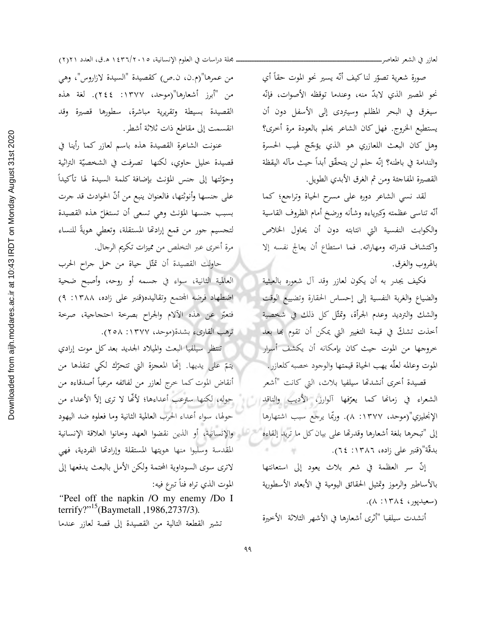صورة شعرية تصوّر لناكيف أنّه يسير نحو الموت حقاً أي نحو المصير الذي لابدّ منه، وعندما توقظه الأصوات، فإنّه سيغرق في البحر المظلم وسيتردى إلى الأسفل دون أن يستطيع الخروج. فهل كان الشاعر يحلم بالعودة مرة أخرى؟ وهل كان البعث اللعازري هو الذي يؤجّعج لهيب الحسرة والندامة في باطنه؟ إنّه حلم لن يتحقّق أبداً حيث مآله اليقظة القصيرة المفاجئة ومن ثم الغرق الأبدي الطويل.

لقد نسى الشاعر دوره على مسرح الحياة وتراجع؛ كما أنّه تناسى عظمته وكبرياءه وشأنه ورضخ أمام الظروف القاسية والكوابت النفسية التي انتابته دون أن يحاول الخلاص واكتشاف قدراته ومهاراته. فما استطاع أن يعالج نفسه إلا بالهروب والغرق.

فكيف يجدر به أن يكون لعازر وقد آل شعوره بالعبثية والضياع والغربة النفسية إلى إحساس الحقارة وتضييع الوقت والشك والترديد وعدم الجرأة، وتمثّل كل ذلك في شخصية أخذت تشكَّ في قيمة التغيير التي يمكن أن تقوم بها بعد خروجها من الموت حيث كان بإمكانه أن يكشف أسرار الموت وعالمه لعلَّه يهب الحياة قيمتها والوجود خصبه كلعازرٍ.

قصيدة أخرى أنشدتها سيلفيا بلاث، التي كانت "أشعر الشعراء في زمانها كما يعرّفها آلوارز، الأديب والناقد ل الإنجليزي"(موحد، ١٣٧٧: ٨). وربِّما يرجع سبب اشتهارها إلى "تبحرها بلغة أشعارها وقدرتها على بيان كل ما تريدا إلقاءه بدقّة"(قنبر على زاده، ١٣٨٦: ٢٤).

إنّ سر العظمة في شعر بلاث يعود إلى استعانتها بالأساطير والرموز وتمثيل الحقائق اليومية في الأبعاد الأسطورية (سعيدپور، ١٣٨٤: ٨).

أنشدت سيلفيا "أثرى أشعارها في الأشهر الثلاثة الأخيرة

مجلة دراسات في العلوم الإنسانية، ١٤٣٦/٢٠١٥ ه.ق، العدد ٢١٢١) من عمرها"(م.ن، ن.ص) كقصيدة "السيدة لازاروس"، وهي من "أبرز أشعارها"(موحد، ١٣٧٧: ٢٤٤). لغة هذه القصيدة بسيطة وتقريرية مباشرة، سطورها قصيرة وقد

انقسمت إلى مقاطع ذات ثلاثة أشطر.

عنونت الشاعرة القصيدة هذه باسم لعازر كما رأينا في قصيدة حليل حاوي، لكنها تصرفت في الشخصيّة التراثية وحوّلتها إلى جنس المؤنث بإضافة كلمة السيدة لها تأكيداً على جنسها وأنوثتها، فالعنوان ينبع من أنّ الحوادث قد جرت بسبب جنسها المؤنث وهي تسعى أن تستغلّ هذه القصيدة لتحسيم جور من قمع إرادتها المستقلة، وتعطى هويةً للنساء مرة أخرى عبر التخلص من مميزات تكريم الرجال.

حاولت القصيدة أن تمثّل حياة من حمل جراح الحرب العالمية الثانية، سواء في جسمه أو روحه، وأصبح ضحية اضطهاد فرضه المحتمع وتقاليده(قنبر على زاده، ١٣٨٨: ٩) فتعبّر عن هذه الآلام والجراح بصرخة احتحاجية، صرخة ترهب القاريء بشدة(موحد، ١٣٧٧: ٢٥٨).

تنتظر سيلفيا البعث والميلاد الجديد بعدكل موت إرادي يتمّ على يديها. إنَّما المعجزة التي تتحرِّك لكي تنقذها من أنقاض الموت كما خرج لعازر من لفائفه مرعباً أصدقاءه من حوله، لكنها سترعب أعداءها؛ لأنَّها لا ترى إلاّ الأعداء من حولها، سواءِ أعداءِ الحرب العالمية الثانية وما فعلوه ضد اليهود تسرعات والإنسانية، أو الذين نقضوا العهد وحانوا العلاقة الإنسانية المقدسة وسلبوا منها هويتها المستقلة وإرادتها الفردية، فهي لاترى سوى السوداوية المحتمة ولكن الأمل بالبعث يدفعها إلى الموت الذي تراه فناً تبرع فيه:

"Peel off the napkin /O my enemy /Do I terrify?"<sup>15</sup>(Baymetall, 1986, 2737/3). تشير القطعة التالية من القصيدة إلى قصة لعازر عندما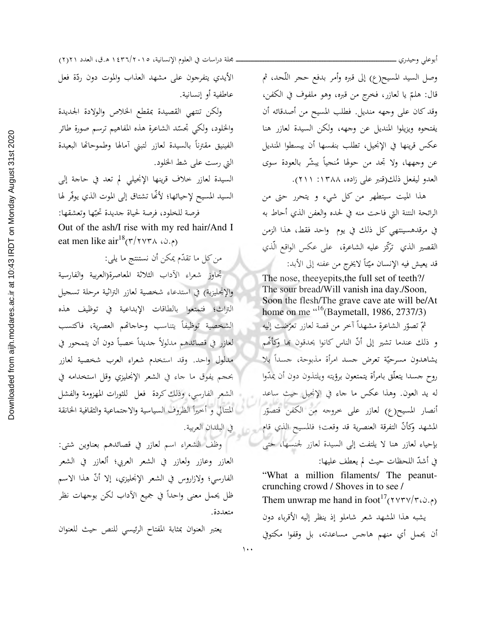وصل السيد المسيح(ع) إلى قبره وأمر بدفع حجر اللّحد، ثم قال: هلمّ يا لعازر، فخرج من قبره، وهو ملفوف في الكفن، وقد كان على وجهه منديل. فطلب المسيح من أصدقائه أن يفتحوه ويزيلوا المنديل عن وجهه، ولكن السيدة لعازر هنا عكس قرينها في الإنجيل، تطلب بنفسها أن يبسطوا المنديل عن وجهها، ولا تجد من حولها مُنحياً يبشّر بالعودة سوى العدو ليفعل ذلك(قنبر على زاده، ١٣٨٨: ٢١١).

أبوعلى وحيدري

هذا الميت سيتطهر من كل شيء و يتحرر حتى من الرائحة النتنة التي فاحت منه في لحده والعفن الذي أحاط به في مرقدهسينتهي كل ذلك في يوم واحد فقط، هذا الزمن القصير الذي تركَّز عليه الشاعرة، على عكس الواقع الَّذي قد يعيش فيه الإنسان ميّتاً لايخرج من عفنه إلى الأبد:

The nose, the eyepits, the full set of teeth?/ The sour bread/Will vanish ina day./Soon, Soon the flesh/The grave cave ate will be/At home on me  $\frac{16}{16}$ (Baymetall, 1986, 2737/3) ثمّ تصوّر الشاعرة مشهداً آخر من قصة لعازر تعرّضت إليه و ذلك عندما تشير إلى أنّ الناس كانوا يحدقون بها وكأُفَّم يشاهدون مسرحيّة تعرض جسد امرأة مذبوحة، جسداً بلا روح جسدا يتعلَّق بامرأة يتمتعون برؤيته ويلتذون دون أن يمدُّوا له يد العون. وهذا عكس ما جاء في الإنجيل حيث ساعد أنصار المسيح(ع) لعازر على خروجه من الكفن فتصوّر المشهد وكأنَّ التفرقة العنصرية قد وقعت؛ فالمسيح الذي قام بإحياء لعازر هنا لا يلتفت إلى السيدة لعازر لجنسها، حتى في أشدّ اللحظات حيث لم يعطف عليها:

"What a million filaments/ The peanutcrunching crowd / Shoves in to see / Them unwrap me hand in foot<sup>17</sup>(۲۷۳۷/۳، ۵.۰) يشبه هذا المشهد شعر شاملو إذ ينظر إليه الأقرباء دون أن يحمل أي منهم هاجس مساعدته، بل وقفوا مكتوفي

مجلة دراسات في العلوم الإنسانية، ١٤٣٦/٢٠١٥ ه.ق، العدد ٢١٢١) الأيدي يتفرجون على مشهد العذاب والموت دون ردّة فعل عاطفية أو إنسانية.

ولكن تنتهى القصيدة بمقطع الخلاص والولادة الجديدة والخلود، ولكي تجسّد الشاعرة هذه المفاهيم ترسم صورة طائر الفينيق مقترنأ بالسيدة لعازر لتبنى أمالها وطموحاتها البعيدة التي رست على شط الخلود.

السيدة لعازر حلاف قرينها الإنجيلي لم تعد في حاجة إلى السيد المسيح لإحيائها؛ لأَنَّها تشتاق إلى الموت الذي يوفَّر لها فرصة للخلود، فرصة لحياة جديدة تحبّها وتعشقها:

Out of the ash/I rise with my red hair/And I eat men like  $\arctan^{18}(\frac{r}{r} \vee r \wedge \omega_{\cdot})$ 

من كل ما تقدَّم يمكن أن نستنتج ما يلي: تجاوز شعراء الأداب الثلاثة المعاصرة(العربية والفارسية والإنحليزية) في استدعاء شخصية لعازر التراثية مرحلة تسحيل التراث؛ فتمتعوا بالطاقات الإبداعية في توظيف هذه الشخصية توظيفاً يتناسب وحاحاتهم العصرية، فاكتسب لعازر في قصائدهم مدلولاً جديداً خصباً دون أن يتمحور في مدلول واحد. وقد استخدم شعراء العرب شخصية لعازر بحجم يفوق ما جاء في الشعر الإنحليزي وقل استخدامه في الشعر الفارسي، وذلك كردة فعل للثورات المهزومة والفشل المتتالى و أحيراً الظروف السياسية والاجتماعية والثقافية الخانقة

في البلدان العربية.

 $\lambda \cdot \cdot$ 

وظف الشعراء اسم لعازر في قصائدهم بعناوين شتى: العازر وعازر ولعازر في الشعر العربي؛ ألعازر في الشعر الفارسي؛ ولازاروس في الشعر الإنجليزي، إلا أنَّ هذا الاسم ظل يحمل معنى واحداً في جميع الآداب لكن بوجهات نظر متعددة.

يعتبر العنوان بمثابة المفتاح الرئيسي للنص حيث للعنوان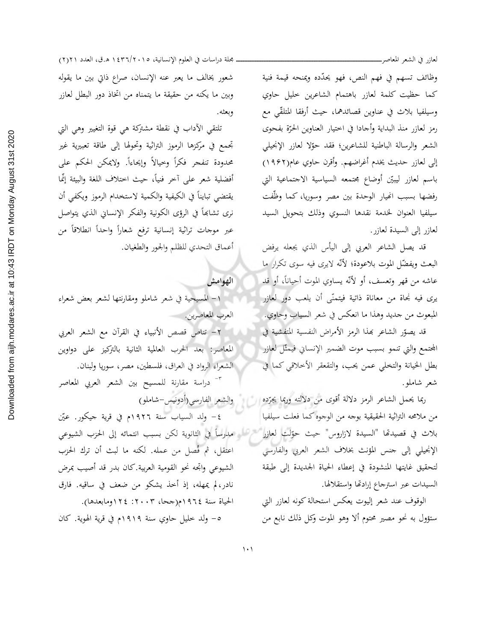لعازر في الشعر المعاصر\_

وظائف تسهم في فهم النص، فهو يحدّده ويمنحه قيمة فنية كما حظيت كلمة لعازر باهتمام الشاعرين خليل حاوي وسيلفيا بلاث في عناوين قصائدهما، حيث أرفقا المتلقَّى مع رمز لعازر منذ البداية وأجادا في اختيار العناوين الحرّة بفحوى الشعر والرسالة الباطنية للشاعرين؛ فقد حوّلا لعازر الإنجيلي إلى لعازر حديث يخدم أغراضهم. وأقرن حاوي عام(١٩۶٢) باسم لعازر ليبيّن أوضاع مجتمعه السياسية الاجتماعية التي رفضها بسبب انهيار الوحدة بين مصر وسوريا، كما وظّفت سيلفيا العنوان لخدمة نقدها النسوي وذلك بتحويل السيد لعازر إلى السيدة لعازر.

قد يصل الشاعر العربي إلى اليأس الذي يجعله يرفض البعث ويفضّل الموت بلاعودة؛ لأنّه لايري فيه سوى تكرار ما عاشه من قهر وتعسف، أو لأنّه يساوي الموت أحياناً، أو قد يرى فيه نجاة من معاناة ذاتية فيتمنّى أن يلعب دور لعازر المبعوث من جديد وهذا ما انعكس في شعر السياب وحاوي. ا

قد يصوّر الشاعر بهذا الرمز الأمراض النفسية المتفشية في المحتمع والتي تنمو بسبب موت الضمير الإنساني فيمثّل لعازر بطل الخيانة والتخلي عمن يحب، والتقعقر الأخلاقي كما في شعر شاملو.

ربما يحمل الشاعر الرمز دلالة أقوى من دلالته وربما يجرّده إلى المسلول والشعر الفارسي(أدونيس-شاملو) من ملامحه التراثية الحقيقية بوجه من الوجوه كما فعلت سيلفيا بلاث في قصيدتها "السيدة لازاروس" حيث حوّلت لعازر معالم مدارساً في الثانوية لكن بسبب انتمائه إلى الحزب الشيوعي الإنجيلي إلى حنس المؤنث بخلاف الشعر العربي والفارسي لتحقيق غايتها المنشودة في إعطاء الحياة الجديدة إلى طبقة السيدات عبر استرجاع إرادتها واستقلالها.

> الوقوف عند شعر إليوت يعكس استحالة كونه لعازر التي ستؤول به نحو مصير محتوم ألا وهو الموت وكل ذلك نابع من

مجلة دراسات في العلوم الإنسانية، ١٤٣٦/٢٠١٥ ه.ق، العدد ٢١٢١) شعور يخالف ما يعبر عنه الإنسان، صراع ذاتي بين ما يقوله وبين ما يكنه من حقيقة ما يتمناه من اتخاذ دور البطل لعازر وبعثه.

تلتقى الآداب في نقطة مشتركة هي قوة التغيير وهي التي تجمع في مركزها الرموز التراثية وتحولها إلى طاقة تعبيرية غير محدودة تنفجر فكرأ وحيالاً وإيحاءاً. ولايمكن الحكم على أفضلية شعر على آحر فنياً، حيث اختلاف اللغة والبيئة إنّما يقتضى تبايناً في الكيفية والكمية لاستخدام الرموز ويكفى أن نري تشابَّعاً في الرؤى الكونية والفكر الإنساني الذي يتواصل عبر موجات تراثية إنسانية ترفع شعاراً واحداً انطلاقاً من أعماق التحدي للظلم والحور والطغيان.

الهوامش ١- المسيحية في شعر شاملو ومقارنتها لشعر بعض شعراء العرب المعاصرين.

٢- تناص قصص الأنبياء في القرآن مع الشعر العربي المعاصر: بعد الحرب العالمية الثانية بالتركيز على دواوين الشعراءِ الرواد في العراق، فلسطين، مصر، سوريا ولبنان.

<sup>7</sup>" دراسة مقارنة للمسيح بين الشعر العربي المعاصر

٤– ولد السياب سنة ١٩٢٦م في قرية حيكور. عيّن اعتقل، ثم فُصل من عمله. لكنه ما لبث أن ترك الحزب الشيوعي واتجه نحو القومية العربية.كان بدر قد أصيب بمرض نادر، لم يمهله، إذ أخذ يشكو من ضعف في ساقيه. فارق الحياة سنة ١٩٦٤م(جحا، ٢٠٠٣: ١٢٤ومابعدها). ٥– ولد خليل حاوي سنة ١٩١٩م في قرية الهوية. كان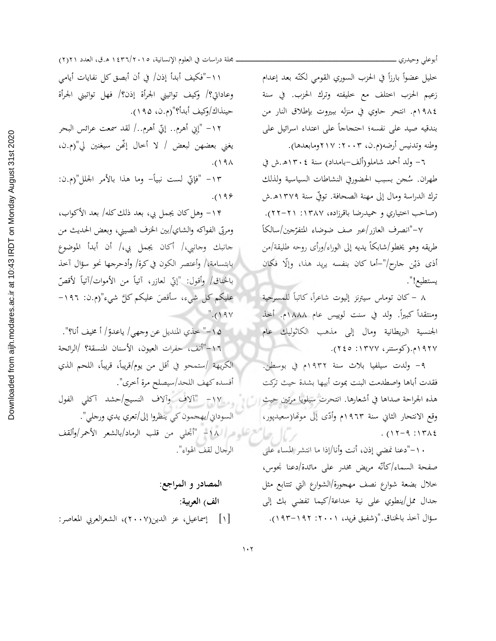خليل عضواً بارزاً في الحزب السوري القومي لكنّه بعد إعدام زعيم الحزب اختلف مع خليفته وترك الحزب. في سنة ١٩٨٤م. انتحر حاوي في منزله ببيروت بإطلاق النار من بندقيه صيد على نفسه؛ احتجاجاً على اعتداء اسرائيل على وطنه وتدنيس أرضه(م.ن، ٢٠٠٣: ٢١٧ومابعدها).

أبوعلى وحيدري .

٦– ولد أحمد شاملو(ألف–بامداد) سنة ١٣٠٤هـ.ش في طهران. سُجن بسبب الحضوريي النشاطات السياسية ولذلك ترك الدراسة ومال إلى مهنة الصحافة. توفّي سنة ١٣٧٩هـ.ش (صاحب اختياري و حميدرضا باقرزاده، ١٣٨٧: ٢١١-٢٢). ٧-"انصرف العازر/عبر صف ضوضاء المتفرّجين/سالكاً

طريقه وهو يخطو/شابكاً يديه إلى الوراء/ورأى روحه طليقة/من أذى دَيْن جارح/"–أما كان بنفسه يريد هذا، وإلّا فكان يستطيع!".

٨ – كان توماس سيترنز إليوت شاعراً، كاتباً للمسرحية ا ومنتقداً كبيراً. ولد في سنت لوييس عام ١٨٨٨م. أحمذ الجنسية البريطانية ومال إلى مذهب الكاثوليك عام ١٩٢٧م.(كوستنر، ١٣٧٧: ٢٤٥).

٩- ولدت سيلفيا بلاث سنة ١٩٣٢م في بوسطن. فقدت أباها واصطدمت البنت بموت أبيها بشدة حيث تركت هذه الجراحة صداها في أشعارها. انتحرت سيلويا مرتين حيث وقع الانتحار الثاني سنة ١٩٦٣م وأدَّى إلى موتَّفا(سعيدپور،  $. (17 - 9.177)$ 

١٠-"دعنا نمضي إذن، أنت وأنا/إذا ما انتشر المساء على صفحة السماء/كأنّه مريض مخدر على مائدة/دعنا نجوس، خلال بضعة شوارع نصف مهجورة/الشوارع التي تتتابع مثل جدال ممل/ينطوي على نية خداعة/كيما تفضى بك إلى سؤال آخذ بالخناق."(شفيق فريد، ٢٠٠١: ١٩٢–١٩٣).

مجلة دراسات في العلوم الإنسانية، ١٤٣٦/٢٠١٥ ه.ق، العدد ٢١٢١)

١١-"فكيف أبدأ إذن/ في أن أبصق كل نفايات أيامي وعاداتي؟/ وكيف تواتيني الجرأة إذن؟/ فهل تواتيني الجرأة حينذاك/وكيف أبدأ؟"(م.ن، ١٩٥).

١٢– "إِنِي أَهرم.. إِنِّي أَهرم../ لقد سمعت عرائس البحر يغني بعضهن لبعض / لا أخال إنَّهن سيغنين لي"(م.ن،  $.()$  ٩ $\wedge$ 

١٣– "فإتَّى لست نبياً– وما هذا بالأمر الجلل"(م.ن:  $.() 99$ 

١۴– وهل كان يجمل بي، بعد ذلك كله/ بعد الأكواب، ومربّى الفواكه والشاي/بين الخزف الصيني، وبعض الحديث من جانبك وجانبي،/ أكان يجمل بي،/ أن أبدأ الموضوع بابتسامة،/ وأعتصر الكون في كرة/ وأدحرجها نحو سؤال آحذ بالخناق/ وأقول: "إنِّي لعازِر، آتياً من الأموات/آتياً لأقصِّ علیکم کل ش<sub>یء</sub>، سأقصَ علیکم کلَّ شیء"(م.ن: ۱۹۲–  $".(19V$ 

١٥-" حذي المنديل عن وجهي/ ياعدوّ/ أ مخيف أنا؟". ١٦-"أنف، حفرات العيون، الأسنان المنسقة؟ /الرائحة الكريهة /ستمحو في أقل من يوم/قريباً، قريباً، اللحم الذي أفسده كهف اللحد/سيصلح مرة أخرى". ١٧١- "آلاف وآلاف النسيج/حشد آكلي الفول السوداني/يهجمون كي ينظروا إلى/تعري يدي ورجلي". / أو المستمر السكر السكر المستقرر العامر العاد العاد المستمر الأحمر *ا*والقف الرجال لقف الهواء".

المصادر و المراجع: الف) العربية: [۱] إسماعيل، عز الدين(۲۰۰۷)، الشعرالعربي المعاصر: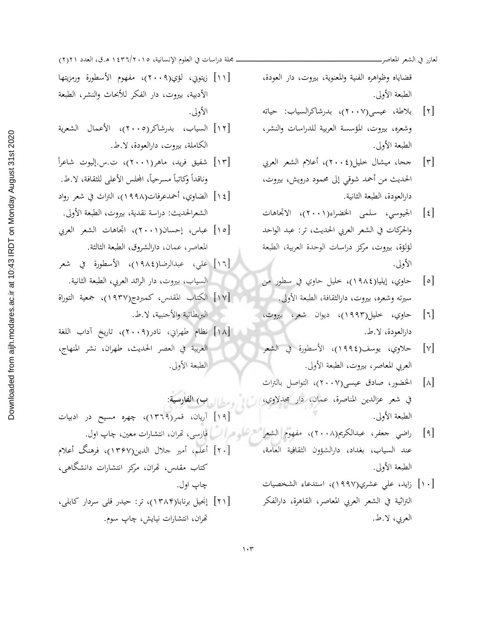لعازر في الشعر المعاصر\_

قضاياه وظواهره الفنية والمعنوية، بيروت، دار العودة، الطبعة الأولى.

- [۲] بلاطة، عيسى(۲۰۰۷)، بدرشاكرالسياب: حياته وشعره، بيروت، المؤسسة العربية للدراسات والنشر، الطبعة الأولى.
- جحا، ميشال خليل(٢٠٠٤)، أعلام الشعر العربي  $\lceil r \rceil$ الحديث من أحمد شوقي إلى محمود درويش، بيروت، دارالعودة، الطبعة الثانية.
- [٤] الجيوسي، سلمي الخضراء(٢٠٠١)، الاتحاهات والحركات في الشعر العربي الحديث، تر: عبد الواحد لؤلؤة، بيروت، مركز دراسات الوحدة العربية، الطبعة الأولى.
- حاوي، إيليا(١٩٨٤)، خليل حاوي في سطور من  $\lceil \circ \rceil$
- حاوي، خليل(١٩٩٣)، ديوان شعر، بيروت،  $\lceil \cdot \rceil$ دارالعودة، لا.ط.
- حلاوي، يوسف(١٩٩٤)، الأسطورة في الشعر  $\lceil v \rceil$ العربي المعاصر، بيروت، الطبعة الأولى.
- الخضور، صادق عيسى(٢٠٠٧)، التواصل بالتراث  $\lceil \lambda \rceil$ في شعر عزالدين المناصرة، عمان، دار محدلاوي، الطبعة الأولى.
- [٩] راضي جعفر، عبدالكريم(٢٠٠٨)، مفهوم الشعر الشاعر الـ فارسي، تمران، انتشارات معين، چاپ اول. عند السياب، بغداد، دارالشؤون الثقافية العامة، الطبعة الأولى.
	- [۱۰] زاید، علی عشري(۱۹۹۷)، استدعاء الشخصیات التراثية في الشعر العربى المعاصر، القاهرة، دارالفكر العربي، لا.ط.

ــ مجلة دراسات في العلوم الإنسانية، ١٥. ٢/٢٦/٢ ه.ق، العدد ٢١(٢)

- [١١] زيتوين، لؤي(٢٠٠٩)، مفهوم الأسطورة ورمزيتها الأدبية، بيروت، دار الفكر للأبحاث والنشر، الطبعة الأولى.
- [١٢] السياب، بدرشاكر(٢٠٠٥)، الأعمال الشعرية الكاملة، بيروت، دارالعودة، لا.ط.
- [١٣] شفيق فريد، ماهر(٢٠٠١)، ت.س.إليوت شاعراً وناقداً وكاتباً مسرحياً، المجلس الأعلى للثقافة، لا.ط.
- [١٤] الضاوى، أحمدعرفات(١٩٩٨)، التراث في شعر رواد الشعرالحديث: دراسة نقدية، بيروت، الطبعة الأولى.
- [١٥] عباس، إحسان(٢٠٠١)، اتجاهات الشعر العربي المعاصر، عمان، دارالشروق، الطبعة الثالثة.
- [١٦] على، عبدالرضا(١٩٨٤)، الأسطورة في شعر السياب، بيروت، دار الرائد العربي، الطبعة الثانية.
- [١٧] الكتاب المقدس، كمبردج(١٩٣٧)، جمعية التوراة البريطانية والأجنبية، لا.ط.
- [١٨] نظام طهراني، نادر(٢٠٠٩)، تاريخ آداب اللغة العربية في العصر الحديث، طهران، نشر المنهاج، الطبعة الأولى.

السال ومطالب الغادسية: [۱۹] آریان، قمر(۱۳۲۹)، چهره مسیح در ادبیات [٢٠] أعلم، أمير جلال الدين(١٣۶٧)، فرهنگ أعلام كتاب مقدس، تھران، مركز انتشارات دانشگاهي، چاپ اول. [۲۱] إنجيل برنابا(۱۳۸۴)، تر: حيدر قلي سردار كابلي، تھران، انتشارات نیایش، چاپ سوم.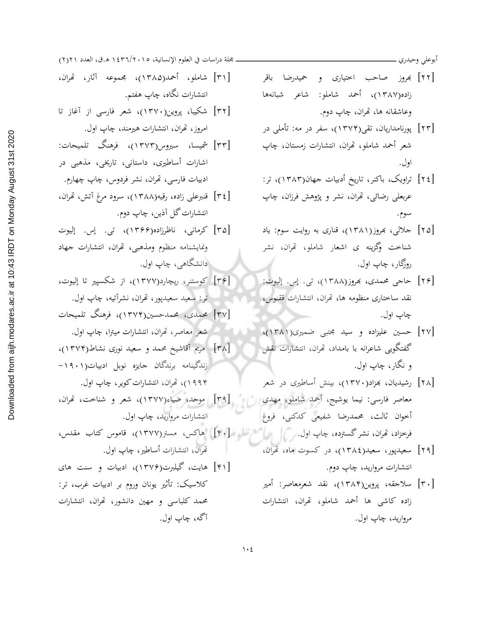أبوعلى وحيدري

- [۲۲] بھروز صاحب اختیاری و حمیدرضا باقر زاده(۱۳۸۷)، أحمد شاملو: شاعر شبانهها وعاشقانه ها، تھران، چاپ دوم.
- [۲۳] پورنامداریان، تقی(۱۳۷۴)، سفر در مه: تأملی در شعر أحمد شاملو، تھران، انتشارات زمستان، چاپ اول.
- [٢٤] تراویک، باکنر، تاریخ أدبیات جهان(١٣٨٣)، تر: عربعلي رضائي، تھران، نشر و پژوهش فرزان، چاپ سوم.
- [۲۵] جلالی، بهروز(۱۳۸۱)، قناری به روایت سوم: یاد شناخت وگزینه ی اشعار شاملو، تحران، نشر روزگار، چاپ اول.
- [۲۶] حاجي محمدي، بمروز(۱۳۸۸)، تي. إس. إليوت: نقد ساختاری منظومه ها، تَحران، انتشارات ققنوس، چاپ اول.
- [۲۷] حسین علیزاده و سید مجتبی ضمیری(۱۳۸۱)، گفتگویی شاعرانه با بامداد، تحران، انتشارات نقش و نگار، چاپ اول.
- [۲۸] رشیدیان، بهزاد(۱۳۷۰)، بینش أساطیری در شعر معاصر فارسی: نیما یوشیج، أحمد شاملو، مهدی ال أخوان ثالث، محمدرضا شفيعي كدكني، فروغ
	- [۲۹] سعیدپور، سعید(۱۳۸٤)، در کسوت ماه، تحران، انتشارات مرواريد، چاپ دوم.
	- [۳۰] سلاجقه، پروین(۱۳۸۴)، نقد شعرمعاصر: أمیر زاده كاشى ها أحمد شاملو، تحران، انتشارات مرواريد، چاپ اول.

مجلة دراسات في العلوم الإنسانية، ١٤٣٦/٢٠١٥ ه.ق، العدد ٢١(٢)

- [٣١] شاملو، أحمد(١٣٨٥)، مجموعه آثار، تھران، انتشارات نگاه، چاپ هفتم.
- [۳۲] شکیبا، پروین(۱۳۷۰)، شعر فارسی از آغاز تا امروز، تھران، انتشارات ہیرمند، چاپ اول.
- [٣٣] شميسا، سيروس(١٣٧٣)، فرهنگ تلميحات: اشارات أساطیری، داستانی، تاریخی، مذهبی در ادبيات فارسي، تھران، نشر فردوس، چاپ چھارم.
- [٣٤] قنبرعلي زاده، رقيه(١٣٨٨)، سرود مرغ آتش، تمران، انتشارات گل آذين، چاپ دوم.
- [٣۵] كرماني، ناظرزاده(١٣۶۶)، تي. إس. إليوت ونمايشنامه منظوم ومذهبي، تحران، انتشارات جهاد ادانشگاهي، چاپ اول.
- [۳۶] كوستنر، ريچارد(۱۳۷۷)، از شكسيير تا إليوت، تر: سعيد سعيدپور، تھران، نشرآتيه، چاپ اول.
- [۳۷] محمدی، محمدحسین(۱۳۷۴)، فرهنگ تلمیحات شعر معاصر، تھران، انتشارات میترا، چاپ اول.
- [۳۸] مریم آقاشیخ محمد و سعید نوری نشاط(۱۳۷۴)، زندگینامه برندگان حایزه نوبل ادبیات(۹۰۱-۱۹۹۴)، تھران، انتشارات کویر، چاپ اول.
- [۳۹] موحد، ضیاء(۱۳۷۷)، شعر و شناخت، تھران، انتشارات مروارید، چاپ اول.
- فرخزاد، تحران، نشر گسترده، چاپ اول. ﴿ ﴾ ﴾ ﴿ ﴾ ﴾ ﴾ ﴾ ﴾ ﴾ ﴾ ﴾ اهاکس، مستر(١٣٧٧)، قاموس کتاب مقدس، تھران، انتشارات أساطير، چاپ اول.
- [۴۱] هایت، گیلبرت(۱۳۷۶)، ادبیات و سنت های کلاسیک: تأثیر یونان وروم بر ادبیات غرب، تر: محمد کلباسی و مهین دانشور، تهران، انتشارات آگه، چاپ اول.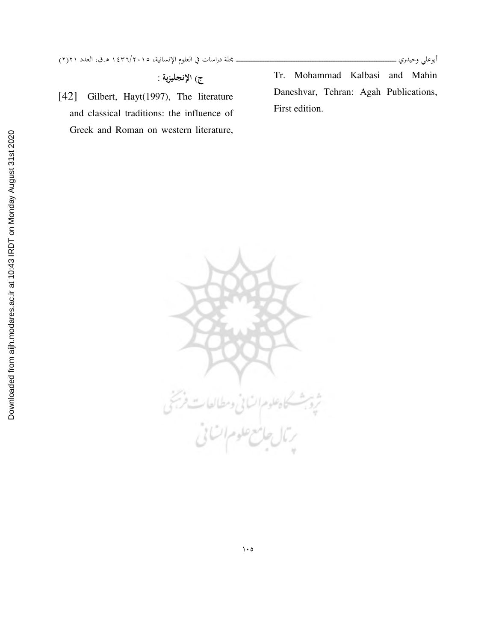ج) الإنجليزية :

[42] Gilbert, Hayt(1997), The literature and classical traditions: the influence of Greek and Roman on western literature, Tr. Mohammad Kalbasi and Mahin Daneshvar, Tehran: Agah Publications, First edition.



أبوعلي وحيدري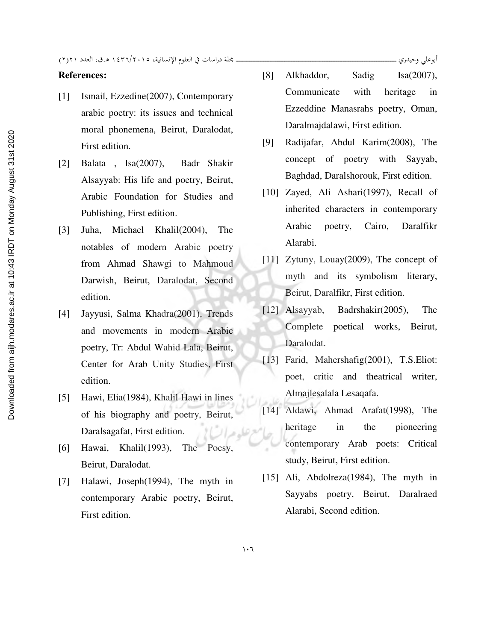ة دراسات في العلوم الإنسانية، ١٥.٢/٢٠١٢ ه.ق، العدد ٢١(٢)

## **References:**

- [1] Ismail, Ezzedine(2007), Contemporary arabic poetry: its issues and technical moral phonemena, Beirut, Daralodat, First edition.
- [2] Balata , Isa(2007), Badr Shakir Alsayyab: His life and poetry, Beirut, Arabic Foundation for Studies and Publishing, First edition.
- [3] Juha, Michael Khalil(2004), The notables of modern Arabic poetry from Ahmad Shawgi to Mahmoud Darwish, Beirut, Daralodat, Second edition.
- [4] Jayyusi, Salma Khadra(2001), Trends and movements in modern Arabic poetry, Tr: Abdul Wahid Lala, Beirut, Center for Arab Unity Studies, First edition.
- [5] Hawi, Elia(1984), Khalil Hawi in lines of his biography and poetry, Beirut, Daralsagafat, First edition.
- [6] Hawai, Khalil(1993), The Poesy, Beirut, Daralodat.
- [7] Halawi, Joseph(1994), The myth in contemporary Arabic poetry, Beirut, First edition.
- [8] Alkhaddor, Sadig Isa(2007), Communicate with heritage in Ezzeddine Manasrahs poetry, Oman, Daralmajdalawi, First edition.
- [9] Radijafar, Abdul Karim(2008), The concept of poetry with Sayyab, Baghdad, Daralshorouk, First edition.
- [10] Zayed, Ali Ashari(1997), Recall of inherited characters in contemporary Arabic poetry, Cairo, Daralfikr Alarabi.
- [11] Zytuny, Louay(2009), The concept of myth and its symbolism literary, Beirut, Daralfikr, First edition.
- [12] Alsayyab, Badrshakir(2005), The Complete poetical works, Beirut, Daralodat.
- [13] Farid, Mahershafig(2001), T.S.Eliot: poet, critic and theatrical writer, Almajlesalala Lesaqafa.
- [14] Aldawi, Ahmad Arafat(1998), The heritage in the pioneering contemporary Arab poets: Critical study, Beirut, First edition.
- [15] Ali, Abdolreza(1984), The myth in Sayyabs poetry, Beirut, Daralraed Alarabi, Second edition.

أبوعلي وحيدري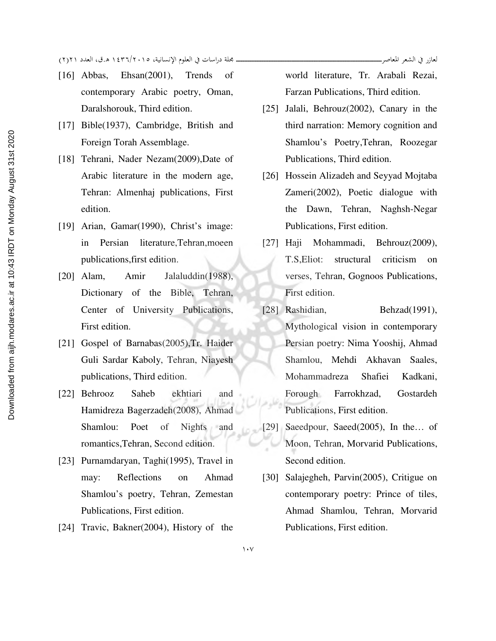- [16] Abbas, Ehsan(2001), Trends of contemporary Arabic poetry, Oman, Daralshorouk, Third edition.
- [17] Bible(1937), Cambridge, British and Foreign Torah Assemblage.
- [18] Tehrani, Nader Nezam(2009), Date of Arabic literature in the modern age, Tehran: Almenhaj publications, First edition.
- [19] Arian, Gamar(1990), Christ's image: in Persian literature,Tehran,moeen publications,first edition.
- [20] Alam, Amir Jalaluddin(1988), Dictionary of the Bible, Tehran, Center of University Publications, First edition.
- [21] Gospel of Barnabas(2005), Tr. Haider Guli Sardar Kaboly, Tehran, Niayesh publications, Third edition.
- [22] Behrooz Saheb ekhtiari and Hamidreza Bagerzadeh(2008), Ahmad Shamlou: Poet of Nights and romantics,Tehran, Second edition.
- [23] Purnamdaryan, Taghi(1995), Travel in may: Reflections on Ahmad Shamlou's poetry, Tehran, Zemestan Publications, First edition.
- [24] Travic, Bakner(2004), History of the

world literature, Tr. Arabali Rezai, Farzan Publications, Third edition.

- [25] Jalali, Behrouz(2002), Canary in the third narration: Memory cognition and Shamlou's Poetry,Tehran, Roozegar Publications, Third edition.
- [26] Hossein Alizadeh and Seyyad Mojtaba Zameri(2002), Poetic dialogue with the Dawn, Tehran, Naghsh-Negar Publications, First edition.
- [27] Haji Mohammadi, Behrouz(2009), T.S,Eliot: structural criticism on verses, Tehran, Gognoos Publications, First edition.
- [28] Rashidian, Behzad(1991), Mythological vision in contemporary Persian poetry: Nima Yooshij, Ahmad Shamlou, Mehdi Akhavan Saales, Mohammadreza Shafiei Kadkani, Forough Farrokhzad, Gostardeh Publications, First edition.
- [29] Saeedpour, Saeed(2005), In the... of Moon, Tehran, Morvarid Publications, Second edition.
- [30] Salajegheh, Parvin(2005), Critigue on contemporary poetry: Prince of tiles, Ahmad Shamlou, Tehran, Morvarid Publications, First edition.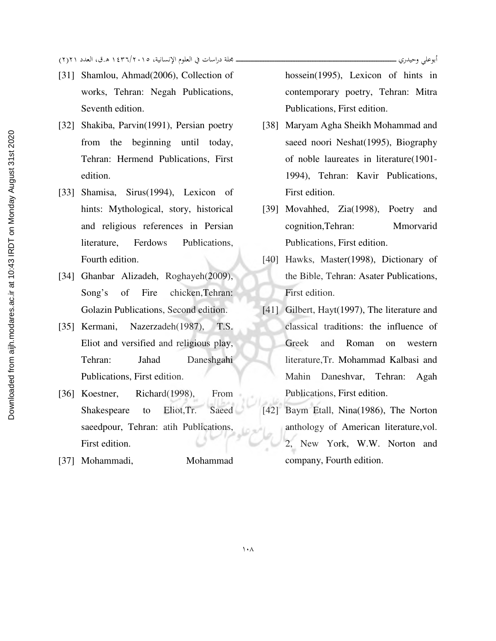- [31] Shamlou, Ahmad(2006), Collection of works, Tehran: Negah Publications, Seventh edition.
- [32] Shakiba, Parvin(1991), Persian poetry from the beginning until today, Tehran: Hermend Publications, First edition.
- [33] Shamisa, Sirus(1994), Lexicon of hints: Mythological, story, historical and religious references in Persian literature, Ferdows Publications, Fourth edition.
- [34] Ghanbar Alizadeh, Roghayeh(2009), Song's of Fire chicken,Tehran: Golazin Publications, Second edition.
- [35] Kermani, Nazerzadeh(1987), T.S. Eliot and versified and religious play, Tehran: Jahad Daneshgahi Publications, First edition.
- [36] Koestner, Richard(1998), From Shakespeare to Eliot,Tr. Saeed saeedpour, Tehran: atih Publications, First edition.
- [37] Mohammadi, Mohammad

hossein(1995), Lexicon of hints in contemporary poetry, Tehran: Mitra Publications, First edition.

أبوعلى وحيدري ـ

- [38] Maryam Agha Sheikh Mohammad and saeed noori Neshat(1995), Biography of noble laureates in literature(1901- 1994), Tehran: Kavir Publications, First edition.
- [39] Movahhed, Zia(1998), Poetry and cognition,Tehran: Mmorvarid Publications, First edition.
- [40] Hawks, Master(1998), Dictionary of the Bible, Tehran: Asater Publications, First edition.
- [41] Gilbert, Hayt(1997), The literature and classical traditions: the influence of Greek and Roman on western literature,Tr. Mohammad Kalbasi and Mahin Daneshvar, Tehran: Agah Publications, First edition.
- [42] Baym Etall, Nina(1986), The Norton anthology of American literature,vol. 2, New York, W.W. Norton and company, Fourth edition.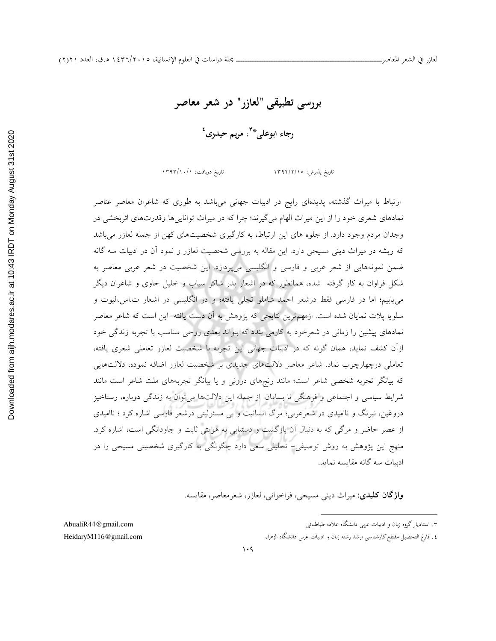بررسي تطبيقي "لعازر" در شعر معاصر

رجاء ابوعلي\*<sup>"</sup>، مريم حيدرى<sup>؛</sup>

تاریخ پذیرش: ١٣٩٢/٢/١٥ تاریخ دریافت: ١٣٩٣/١٠/١

ارتباط با ميراث گذشته ، پديدهاي رايج در ادبيات جهاني ميباشد به طوري كه شاعران معاصر عناصر نمادهاي شعري خود را از اين ميراث الهام ميگيرند؛ چرا كه در ميراث توانايي وها قدرتهاي اثربخشي در وجدان مردم وجود دارد. از جلوه هاي اين ارتباط، به كارگيري شخصيتهاي كهن از جمله لعازر مي باشد كه ريشه در ميراث ديني مسيحي دارد . اين مقاله به بررسي شخصيت لعازر و نمود آن در ادبيات سه گانه ضمن نمونههايي از شعر عربي و فارسي و انگليسي ميپردازد . اين شخصيت در شعر عربي معاصر به شكل فراوان به كار گرفته شده، همانطور كه در اشعار بدر شاكر سياب و خليل حاوي و شاعران ديگر مي يابيم؛ اما در فارسي فقط درشعر احمد شاملو تجلي يافته؛ و در انگليسي در اشعار ت اس اليوت و سلويا پلات نمايان شده است . ازمهمترين نتايجي كه پژوهش به آن دست يافته اين است كه شاعر معاصر نمادهاي پيشين را زماني در شعرخود به كارمي بندد كه بتواند بعدي روحي متناسب با تجربه زندگي خود ازآن كشف نمايد، همان گونه كه در ادبيات جهاني اين تجربه با شخصيت لعازر تعاملي شعري يافته، تعاملي درچهارچوب نماد. شاعر معاصر دلالتهاي جديدي بر شخصيت لعازر اضافه نموده، دلالتهايي كه بيانگر تجربه شخصي شاعر است ؛ مانند رنجهاي دروني و يا بيانگر تجربههاي ملت شاعر است مانند شرايط سياسي و اجتماعي و فرهنگي نا بسامان. از جمله اين دلالتها مي توان به زندگي دوباره، رستاخيز دروغين، نيرنگ و نااميدي در شعرعربي؛ مرگ انسانيت و بي مسئوليتي درشعر فارسي اشاره كرد ؛ نااميدي از عصر حاضر و مرگي كه به دنبال آن بازگشت و دستيابي به هويتي ثابت و جاودانگي است ، اشاره كرد. منهج اين پژوهش به روش توصيفي - تحليلي سعي دارد چگونگي به كارگيري شخصيتي مسيحي را در ادبيات سه گانه مقايسه نمايد .

واژگان كليدي: ميراث ديني مسيحي، فراخواني، لعازر، شعرمعاصر، مقايسه .

۳. استادیار گروه زبان و ادبیات عربی د

٤. فارغ التحصيل مقطع كارشناسي ارشد رشته زبان و ادبيات عربي دانشگاه الزهرا

 $\overline{a}$ 

AbualiR44@gmail.com HeidaryM116@gmail.com 7